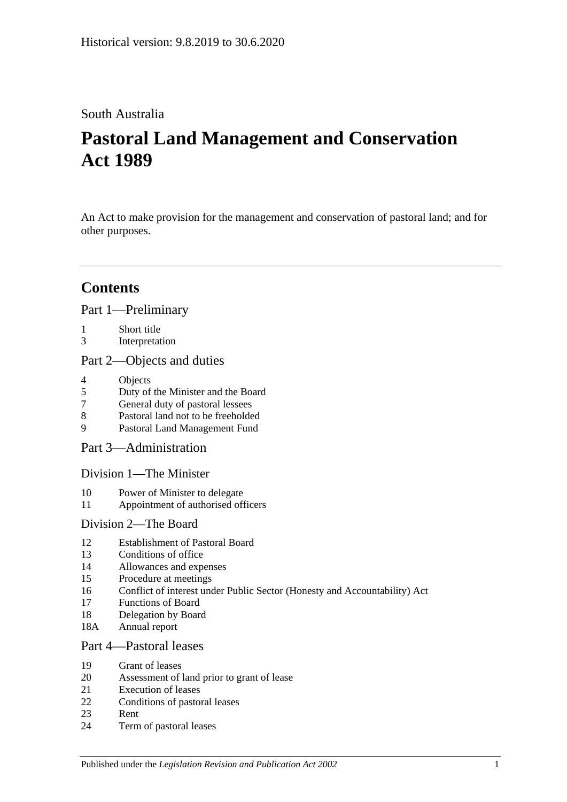# South Australia

# **Pastoral Land Management and Conservation Act 1989**

An Act to make provision for the management and conservation of pastoral land; and for other purposes.

# **Contents**

[Part 1—Preliminary](#page-2-0)

- 1 [Short title](#page-2-1)
- 3 [Interpretation](#page-3-0)

## [Part 2—Objects and duties](#page-4-0)

- 4 [Objects](#page-4-1)<br>5 Duty of
- 5 [Duty of the Minister and the Board](#page-5-0)
- 7 [General duty of pastoral lessees](#page-5-1)
- 8 [Pastoral land not to be freeholded](#page-5-2)
- 9 [Pastoral Land Management Fund](#page-5-3)

[Part 3—Administration](#page-6-0)

[Division 1—The Minister](#page-6-1)

- 10 [Power of Minister to delegate](#page-6-2)
- 11 [Appointment of authorised officers](#page-7-0)

## [Division 2—The Board](#page-7-1)

- 12 [Establishment of Pastoral Board](#page-7-2)
- 13 [Conditions of office](#page-8-0)
- 14 [Allowances and expenses](#page-8-1)
- 15 [Procedure at meetings](#page-8-2)
- 16 [Conflict of interest under Public Sector \(Honesty and Accountability\) Act](#page-9-0)
- 17 [Functions of Board](#page-9-1)
- 18 [Delegation by Board](#page-9-2)
- 18A [Annual report](#page-10-0)

## [Part 4—Pastoral leases](#page-10-1)

- 19 [Grant of leases](#page-10-2)
- 20 [Assessment of land prior to grant of lease](#page-10-3)
- 21 [Execution of leases](#page-11-0)
- 22 [Conditions of pastoral leases](#page-11-1)
- 23 [Rent](#page-13-0)
- 24 [Term of pastoral leases](#page-14-0)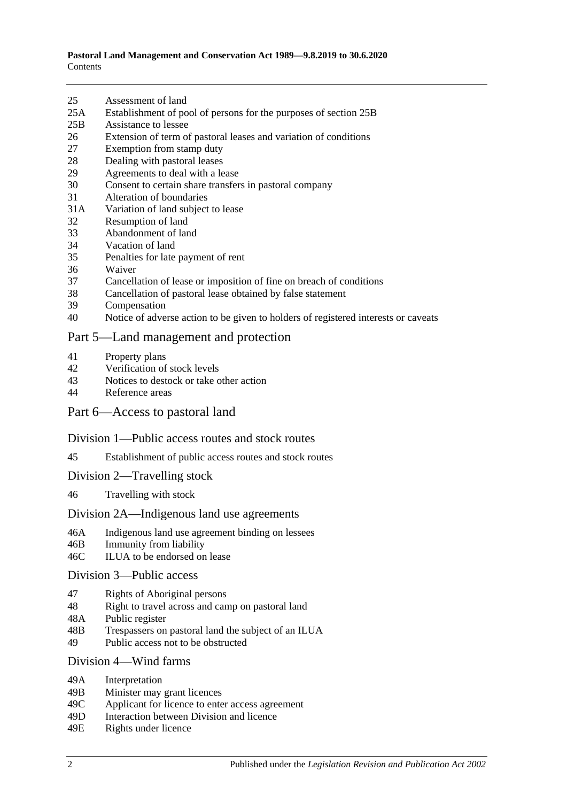- 25 [Assessment of land](#page-15-0)
- 25A [Establishment of pool of persons for the purposes of section](#page-15-1) 25B
- 25B [Assistance to lessee](#page-16-0)
- 26 [Extension of term of pastoral leases and variation of conditions](#page-17-0)
- 27 [Exemption from stamp duty](#page-17-1)
- 28 [Dealing with pastoral leases](#page-18-0)
- 29 [Agreements to deal with a lease](#page-18-1)
- 30 [Consent to certain share transfers in pastoral company](#page-18-2)<br>31 Alteration of boundaries
- [Alteration of boundaries](#page-19-0)
- 31A [Variation of land subject to lease](#page-19-1)
- 32 [Resumption of land](#page-20-0)
- 33 [Abandonment of land](#page-20-1)
- 34 [Vacation of land](#page-20-2)
- 35 [Penalties for late payment of rent](#page-21-0)
- 36 [Waiver](#page-21-1)
- 37 [Cancellation of lease or imposition of fine on breach of conditions](#page-21-2)
- 38 [Cancellation of pastoral lease obtained by false statement](#page-21-3)
- 39 [Compensation](#page-22-0)
- 40 [Notice of adverse action to be given to holders of registered interests or caveats](#page-22-1)

#### [Part 5—Land management and protection](#page-22-2)

- 41 [Property plans](#page-22-3)
- 42 [Verification of stock levels](#page-23-0)
- 43 [Notices to destock or take other action](#page-24-0)
- 44 [Reference areas](#page-25-0)

#### [Part 6—Access to pastoral land](#page-25-1)

#### [Division 1—Public access routes and stock routes](#page-25-2)

- 45 [Establishment of public access routes and stock routes](#page-25-3)
- [Division 2—Travelling stock](#page-27-0)
- 46 [Travelling with stock](#page-27-1)

#### [Division 2A—Indigenous land use agreements](#page-27-2)

- 46A [Indigenous land use agreement binding on lessees](#page-27-3)
- 46B [Immunity from liability](#page-28-0)
- 46C [ILUA to be endorsed on lease](#page-28-1)

#### [Division 3—Public access](#page-29-0)

- 47 [Rights of Aboriginal persons](#page-29-1)
- 48 [Right to travel across and camp on pastoral land](#page-29-2)
- 48A [Public register](#page-30-0)
- 48B [Trespassers on pastoral land the subject of an ILUA](#page-31-0)
- 49 [Public access not to be obstructed](#page-32-0)

#### Division [4—Wind farms](#page-32-1)

- 49A [Interpretation](#page-32-2)
- 49B [Minister may grant licences](#page-33-0)
- 49C [Applicant for licence to enter access agreement](#page-33-1)
- 49D [Interaction between Division and licence](#page-34-0)
- 49E [Rights under licence](#page-34-1)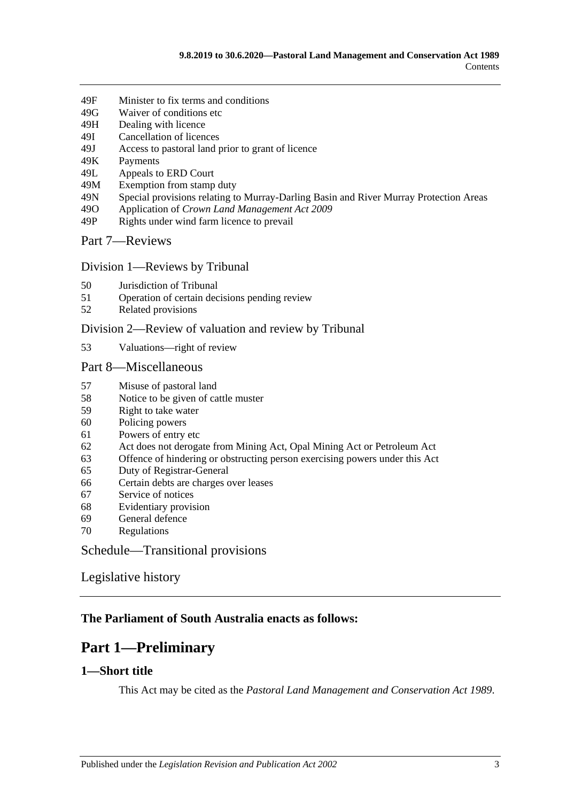- 49F [Minister to fix terms and conditions](#page-34-2)
- 49G [Waiver of conditions etc](#page-35-0)
- 49H [Dealing with licence](#page-35-1)
- 49I [Cancellation of licences](#page-36-0)
- 49J [Access to pastoral land prior to grant of licence](#page-36-1)
- 49K [Payments](#page-37-0)
- 49L [Appeals to ERD Court](#page-37-1)
- 49M [Exemption from stamp duty](#page-39-0)
- 49N [Special provisions relating to Murray-Darling Basin and River](#page-39-1) Murray Protection Areas
- 49O Application of *[Crown Land Management Act](#page-39-2) 2009*
- 49P [Rights under wind farm licence to prevail](#page-39-3)

[Part 7—Reviews](#page-39-4)

#### Division [1—Reviews by Tribunal](#page-39-5)

- 50 [Jurisdiction of Tribunal](#page-39-6)
- 51 [Operation of certain decisions pending review](#page-40-0)
- 52 [Related provisions](#page-40-1)

#### Division [2—Review of valuation and review by Tribunal](#page-41-0)

53 [Valuations—right of review](#page-41-1)

#### [Part 8—Miscellaneous](#page-41-2)

- 57 [Misuse of pastoral land](#page-41-3)
- 58 [Notice to be given of cattle muster](#page-42-0)
- 59 [Right to take water](#page-42-1)
- 60 [Policing powers](#page-42-2)
- 61 [Powers of entry etc](#page-43-0)
- 62 [Act does not derogate from Mining Act, Opal Mining Act or Petroleum Act](#page-43-1)
- 63 [Offence of hindering or obstructing person exercising powers under this Act](#page-43-2)
- 65 [Duty of Registrar-General](#page-44-0)
- 66 [Certain debts are charges over leases](#page-44-1)
- 67 [Service of notices](#page-44-2)<br>68 Evidentiary provis
- [Evidentiary provision](#page-44-3)
- 69 [General defence](#page-45-0)
- 70 [Regulations](#page-45-1)

[Schedule—Transitional provisions](#page-45-2)

## [Legislative history](#page-47-0)

## <span id="page-2-0"></span>**The Parliament of South Australia enacts as follows:**

# **Part 1—Preliminary**

## <span id="page-2-1"></span>**1—Short title**

This Act may be cited as the *Pastoral Land Management and Conservation Act 1989*.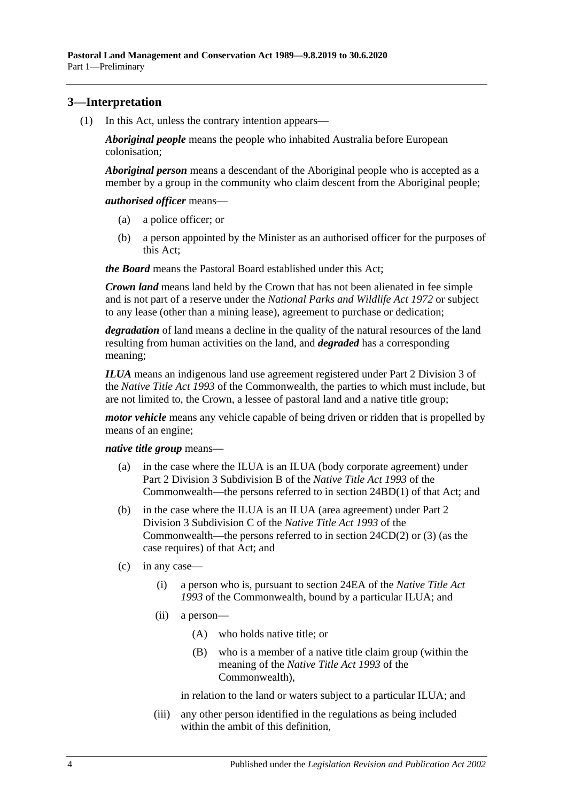## <span id="page-3-2"></span><span id="page-3-0"></span>**3—Interpretation**

(1) In this Act, unless the contrary intention appears—

*Aboriginal people* means the people who inhabited Australia before European colonisation;

*Aboriginal person* means a descendant of the Aboriginal people who is accepted as a member by a group in the community who claim descent from the Aboriginal people;

*authorised officer* means—

- (a) a police officer; or
- (b) a person appointed by the Minister as an authorised officer for the purposes of this Act;

*the Board* means the Pastoral Board established under this Act;

*Crown land* means land held by the Crown that has not been alienated in fee simple and is not part of a reserve under the *[National Parks and Wildlife Act](http://www.legislation.sa.gov.au/index.aspx?action=legref&type=act&legtitle=National%20Parks%20and%20Wildlife%20Act%201972) 1972* or subject to any lease (other than a mining lease), agreement to purchase or dedication;

*degradation* of land means a decline in the quality of the natural resources of the land resulting from human activities on the land, and *degraded* has a corresponding meaning;

*ILUA* means an indigenous land use agreement registered under Part 2 Division 3 of the *Native Title Act 1993* of the Commonwealth, the parties to which must include, but are not limited to, the Crown, a lessee of pastoral land and a native title group;

*motor vehicle* means any vehicle capable of being driven or ridden that is propelled by means of an engine;

*native title group* means—

- (a) in the case where the ILUA is an ILUA (body corporate agreement) under Part 2 Division 3 Subdivision B of the *Native Title Act 1993* of the Commonwealth—the persons referred to in section 24BD(1) of that Act; and
- (b) in the case where the ILUA is an ILUA (area agreement) under Part 2 Division 3 Subdivision C of the *Native Title Act 1993* of the Commonwealth—the persons referred to in section 24CD(2) or (3) (as the case requires) of that Act; and
- <span id="page-3-1"></span>(c) in any case—
	- (i) a person who is, pursuant to section 24EA of the *Native Title Act 1993* of the Commonwealth, bound by a particular ILUA; and
	- (ii) a person—
		- (A) who holds native title; or
		- (B) who is a member of a native title claim group (within the meaning of the *Native Title Act 1993* of the Commonwealth),

in relation to the land or waters subject to a particular ILUA; and

(iii) any other person identified in the regulations as being included within the ambit of this definition.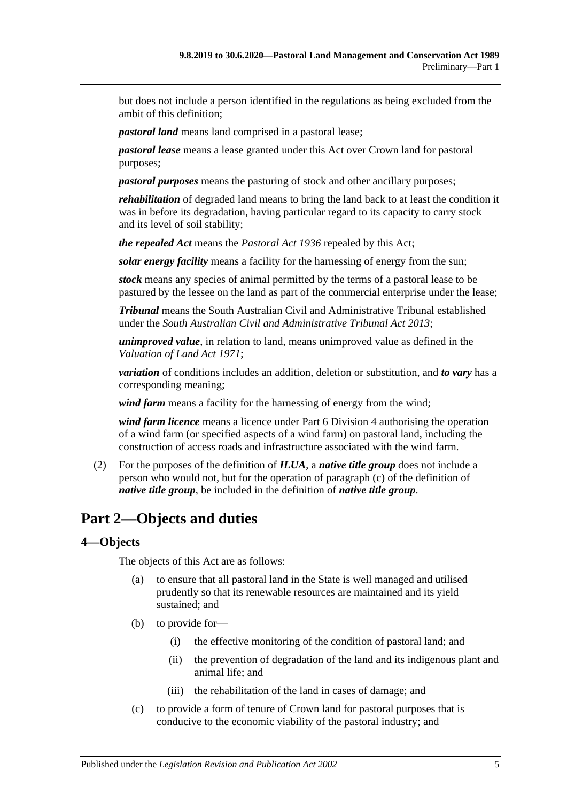but does not include a person identified in the regulations as being excluded from the ambit of this definition;

*pastoral land* means land comprised in a pastoral lease;

*pastoral lease* means a lease granted under this Act over Crown land for pastoral purposes;

*pastoral purposes* means the pasturing of stock and other ancillary purposes;

*rehabilitation* of degraded land means to bring the land back to at least the condition it was in before its degradation, having particular regard to its capacity to carry stock and its level of soil stability;

*the repealed Act* means the *[Pastoral Act](http://www.legislation.sa.gov.au/index.aspx?action=legref&type=act&legtitle=Pastoral%20Act%201936) 1936* repealed by this Act;

*solar energy facility* means a facility for the harnessing of energy from the sun;

*stock* means any species of animal permitted by the terms of a pastoral lease to be pastured by the lessee on the land as part of the commercial enterprise under the lease;

*Tribunal* means the South Australian Civil and Administrative Tribunal established under the *[South Australian Civil and Administrative Tribunal Act](http://www.legislation.sa.gov.au/index.aspx?action=legref&type=act&legtitle=South%20Australian%20Civil%20and%20Administrative%20Tribunal%20Act%202013) 2013*;

*unimproved value*, in relation to land, means unimproved value as defined in the *[Valuation of Land Act](http://www.legislation.sa.gov.au/index.aspx?action=legref&type=act&legtitle=Valuation%20of%20Land%20Act%201971) 1971*;

*variation* of conditions includes an addition, deletion or substitution, and *to vary* has a corresponding meaning;

*wind farm* means a facility for the harnessing of energy from the wind;

*wind farm licence* means a licence under [Part 6 Division](#page-32-1) 4 authorising the operation of a wind farm (or specified aspects of a wind farm) on pastoral land, including the construction of access roads and infrastructure associated with the wind farm.

(2) For the purposes of the definition of *ILUA*, a *native title group* does not include a person who would not, but for the operation of [paragraph](#page-3-1) (c) of the definition of *native title group*, be included in the definition of *native title group*.

# <span id="page-4-0"></span>**Part 2—Objects and duties**

## <span id="page-4-1"></span>**4—Objects**

The objects of this Act are as follows:

- (a) to ensure that all pastoral land in the State is well managed and utilised prudently so that its renewable resources are maintained and its yield sustained; and
- (b) to provide for—
	- (i) the effective monitoring of the condition of pastoral land; and
	- (ii) the prevention of degradation of the land and its indigenous plant and animal life; and
	- (iii) the rehabilitation of the land in cases of damage; and
- (c) to provide a form of tenure of Crown land for pastoral purposes that is conducive to the economic viability of the pastoral industry; and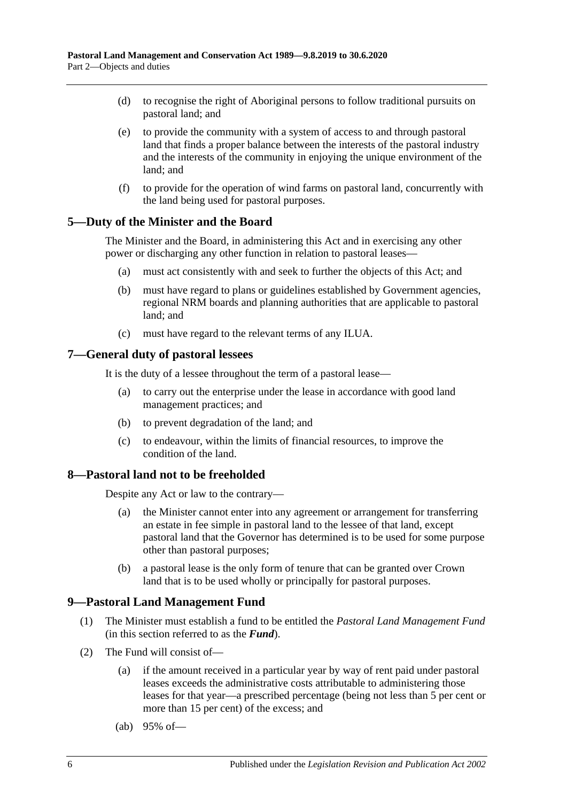- (d) to recognise the right of Aboriginal persons to follow traditional pursuits on pastoral land; and
- (e) to provide the community with a system of access to and through pastoral land that finds a proper balance between the interests of the pastoral industry and the interests of the community in enjoying the unique environment of the land; and
- (f) to provide for the operation of wind farms on pastoral land, concurrently with the land being used for pastoral purposes.

#### <span id="page-5-0"></span>**5—Duty of the Minister and the Board**

The Minister and the Board, in administering this Act and in exercising any other power or discharging any other function in relation to pastoral leases—

- (a) must act consistently with and seek to further the objects of this Act; and
- (b) must have regard to plans or guidelines established by Government agencies, regional NRM boards and planning authorities that are applicable to pastoral land; and
- (c) must have regard to the relevant terms of any ILUA.

#### <span id="page-5-1"></span>**7—General duty of pastoral lessees**

It is the duty of a lessee throughout the term of a pastoral lease—

- (a) to carry out the enterprise under the lease in accordance with good land management practices; and
- (b) to prevent degradation of the land; and
- (c) to endeavour, within the limits of financial resources, to improve the condition of the land.

#### <span id="page-5-2"></span>**8—Pastoral land not to be freeholded**

Despite any Act or law to the contrary—

- (a) the Minister cannot enter into any agreement or arrangement for transferring an estate in fee simple in pastoral land to the lessee of that land, except pastoral land that the Governor has determined is to be used for some purpose other than pastoral purposes;
- (b) a pastoral lease is the only form of tenure that can be granted over Crown land that is to be used wholly or principally for pastoral purposes.

## <span id="page-5-3"></span>**9—Pastoral Land Management Fund**

- (1) The Minister must establish a fund to be entitled the *Pastoral Land Management Fund* (in this section referred to as the *Fund*).
- <span id="page-5-4"></span>(2) The Fund will consist of—
	- (a) if the amount received in a particular year by way of rent paid under pastoral leases exceeds the administrative costs attributable to administering those leases for that year—a prescribed percentage (being not less than 5 per cent or more than 15 per cent) of the excess; and
	- (ab) 95% of—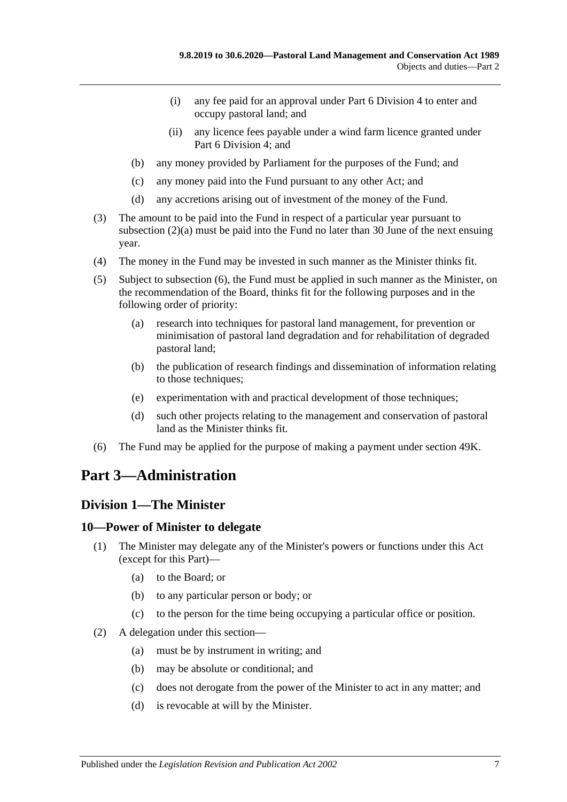- (i) any fee paid for an approval under [Part 6 Division](#page-32-1) 4 to enter and occupy pastoral land; and
- (ii) any licence fees payable under a wind farm licence granted under [Part 6 Division](#page-32-1) 4; and
- (b) any money provided by Parliament for the purposes of the Fund; and
- (c) any money paid into the Fund pursuant to any other Act; and
- (d) any accretions arising out of investment of the money of the Fund.
- (3) The amount to be paid into the Fund in respect of a particular year pursuant to [subsection](#page-5-4) (2)(a) must be paid into the Fund no later than 30 June of the next ensuing year.
- (4) The money in the Fund may be invested in such manner as the Minister thinks fit.
- (5) Subject to [subsection](#page-6-3) (6), the Fund must be applied in such manner as the Minister, on the recommendation of the Board, thinks fit for the following purposes and in the following order of priority:
	- (a) research into techniques for pastoral land management, for prevention or minimisation of pastoral land degradation and for rehabilitation of degraded pastoral land;
	- (b) the publication of research findings and dissemination of information relating to those techniques;
	- (e) experimentation with and practical development of those techniques;
	- (d) such other projects relating to the management and conservation of pastoral land as the Minister thinks fit.
- <span id="page-6-3"></span>(6) The Fund may be applied for the purpose of making a payment under [section](#page-37-0) 49K.

# <span id="page-6-0"></span>**Part 3—Administration**

## <span id="page-6-1"></span>**Division 1—The Minister**

## <span id="page-6-2"></span>**10—Power of Minister to delegate**

- (1) The Minister may delegate any of the Minister's powers or functions under this Act (except for this Part)—
	- (a) to the Board; or
	- (b) to any particular person or body; or
	- (c) to the person for the time being occupying a particular office or position.
- (2) A delegation under this section—
	- (a) must be by instrument in writing; and
	- (b) may be absolute or conditional; and
	- (c) does not derogate from the power of the Minister to act in any matter; and
	- (d) is revocable at will by the Minister.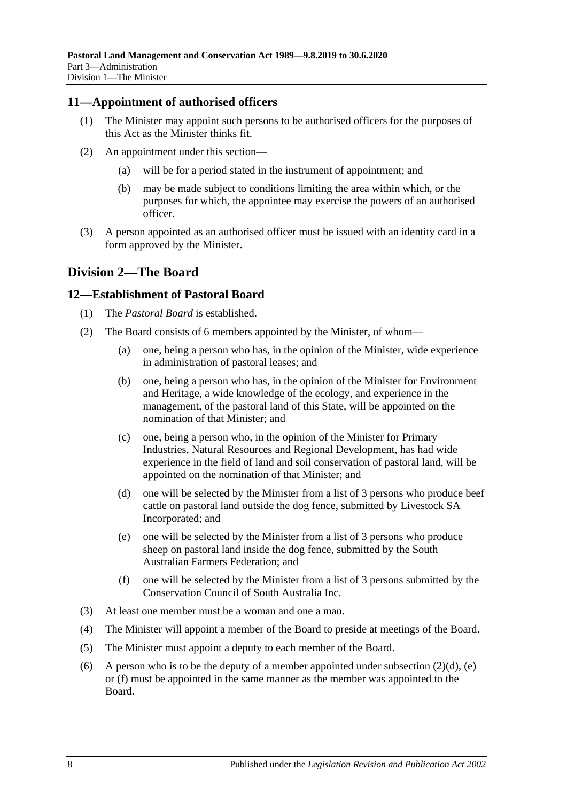## <span id="page-7-0"></span>**11—Appointment of authorised officers**

- (1) The Minister may appoint such persons to be authorised officers for the purposes of this Act as the Minister thinks fit.
- (2) An appointment under this section—
	- (a) will be for a period stated in the instrument of appointment; and
	- (b) may be made subject to conditions limiting the area within which, or the purposes for which, the appointee may exercise the powers of an authorised officer.
- (3) A person appointed as an authorised officer must be issued with an identity card in a form approved by the Minister.

# <span id="page-7-1"></span>**Division 2—The Board**

## <span id="page-7-2"></span>**12—Establishment of Pastoral Board**

- (1) The *Pastoral Board* is established.
- (2) The Board consists of 6 members appointed by the Minister, of whom—
	- (a) one, being a person who has, in the opinion of the Minister, wide experience in administration of pastoral leases; and
	- (b) one, being a person who has, in the opinion of the Minister for Environment and Heritage, a wide knowledge of the ecology, and experience in the management, of the pastoral land of this State, will be appointed on the nomination of that Minister; and
	- (c) one, being a person who, in the opinion of the Minister for Primary Industries, Natural Resources and Regional Development, has had wide experience in the field of land and soil conservation of pastoral land, will be appointed on the nomination of that Minister; and
	- (d) one will be selected by the Minister from a list of 3 persons who produce beef cattle on pastoral land outside the dog fence, submitted by Livestock SA Incorporated; and
	- (e) one will be selected by the Minister from a list of 3 persons who produce sheep on pastoral land inside the dog fence, submitted by the South Australian Farmers Federation; and
	- (f) one will be selected by the Minister from a list of 3 persons submitted by the Conservation Council of South Australia Inc.
- <span id="page-7-5"></span><span id="page-7-4"></span><span id="page-7-3"></span>(3) At least one member must be a woman and one a man.
- (4) The Minister will appoint a member of the Board to preside at meetings of the Board.
- (5) The Minister must appoint a deputy to each member of the Board.
- (6) A person who is to be the deputy of a member appointed under [subsection](#page-7-3)  $(2)(d)$ , [\(e\)](#page-7-4) or [\(f\)](#page-7-5) must be appointed in the same manner as the member was appointed to the Board.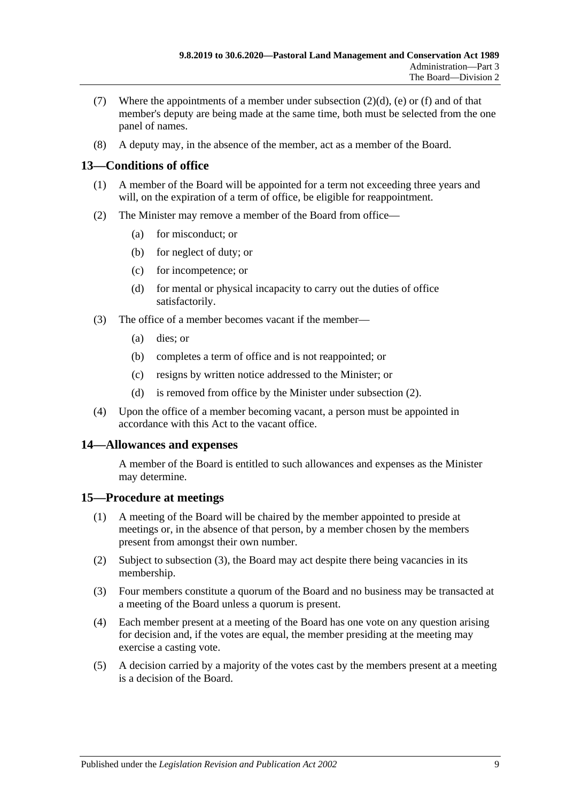- (7) Where the appointments of a member under [subsection](#page-7-3)  $(2)(d)$ , [\(e\)](#page-7-4) or [\(f\)](#page-7-5) and of that member's deputy are being made at the same time, both must be selected from the one panel of names.
- (8) A deputy may, in the absence of the member, act as a member of the Board.

# <span id="page-8-0"></span>**13—Conditions of office**

- (1) A member of the Board will be appointed for a term not exceeding three years and will, on the expiration of a term of office, be eligible for reappointment.
- <span id="page-8-3"></span>(2) The Minister may remove a member of the Board from office—
	- (a) for misconduct; or
	- (b) for neglect of duty; or
	- (c) for incompetence; or
	- (d) for mental or physical incapacity to carry out the duties of office satisfactorily.
- (3) The office of a member becomes vacant if the member—
	- (a) dies; or
	- (b) completes a term of office and is not reappointed; or
	- (c) resigns by written notice addressed to the Minister; or
	- (d) is removed from office by the Minister under [subsection](#page-8-3) (2).
- (4) Upon the office of a member becoming vacant, a person must be appointed in accordance with this Act to the vacant office.

## <span id="page-8-1"></span>**14—Allowances and expenses**

A member of the Board is entitled to such allowances and expenses as the Minister may determine.

## <span id="page-8-2"></span>**15—Procedure at meetings**

- (1) A meeting of the Board will be chaired by the member appointed to preside at meetings or, in the absence of that person, by a member chosen by the members present from amongst their own number.
- (2) Subject to [subsection](#page-8-4) (3), the Board may act despite there being vacancies in its membership.
- <span id="page-8-4"></span>(3) Four members constitute a quorum of the Board and no business may be transacted at a meeting of the Board unless a quorum is present.
- (4) Each member present at a meeting of the Board has one vote on any question arising for decision and, if the votes are equal, the member presiding at the meeting may exercise a casting vote.
- (5) A decision carried by a majority of the votes cast by the members present at a meeting is a decision of the Board.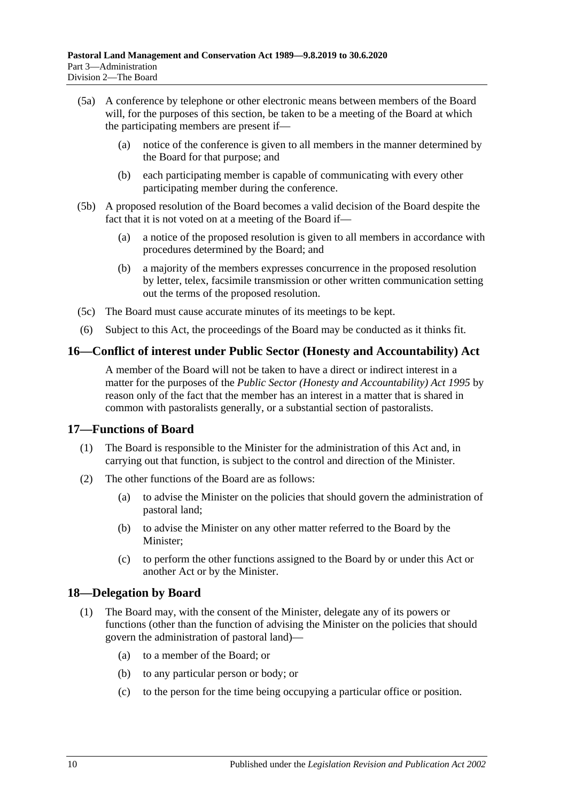- (5a) A conference by telephone or other electronic means between members of the Board will, for the purposes of this section, be taken to be a meeting of the Board at which the participating members are present if—
	- (a) notice of the conference is given to all members in the manner determined by the Board for that purpose; and
	- (b) each participating member is capable of communicating with every other participating member during the conference.
- (5b) A proposed resolution of the Board becomes a valid decision of the Board despite the fact that it is not voted on at a meeting of the Board if—
	- (a) a notice of the proposed resolution is given to all members in accordance with procedures determined by the Board; and
	- (b) a majority of the members expresses concurrence in the proposed resolution by letter, telex, facsimile transmission or other written communication setting out the terms of the proposed resolution.
- (5c) The Board must cause accurate minutes of its meetings to be kept.
- (6) Subject to this Act, the proceedings of the Board may be conducted as it thinks fit.

## <span id="page-9-0"></span>**16—Conflict of interest under Public Sector (Honesty and Accountability) Act**

A member of the Board will not be taken to have a direct or indirect interest in a matter for the purposes of the *[Public Sector \(Honesty and Accountability\) Act](http://www.legislation.sa.gov.au/index.aspx?action=legref&type=act&legtitle=Public%20Sector%20(Honesty%20and%20Accountability)%20Act%201995) 1995* by reason only of the fact that the member has an interest in a matter that is shared in common with pastoralists generally, or a substantial section of pastoralists.

#### <span id="page-9-1"></span>**17—Functions of Board**

- (1) The Board is responsible to the Minister for the administration of this Act and, in carrying out that function, is subject to the control and direction of the Minister.
- (2) The other functions of the Board are as follows:
	- (a) to advise the Minister on the policies that should govern the administration of pastoral land;
	- (b) to advise the Minister on any other matter referred to the Board by the Minister;
	- (c) to perform the other functions assigned to the Board by or under this Act or another Act or by the Minister.

## <span id="page-9-2"></span>**18—Delegation by Board**

- (1) The Board may, with the consent of the Minister, delegate any of its powers or functions (other than the function of advising the Minister on the policies that should govern the administration of pastoral land)—
	- (a) to a member of the Board; or
	- (b) to any particular person or body; or
	- (c) to the person for the time being occupying a particular office or position.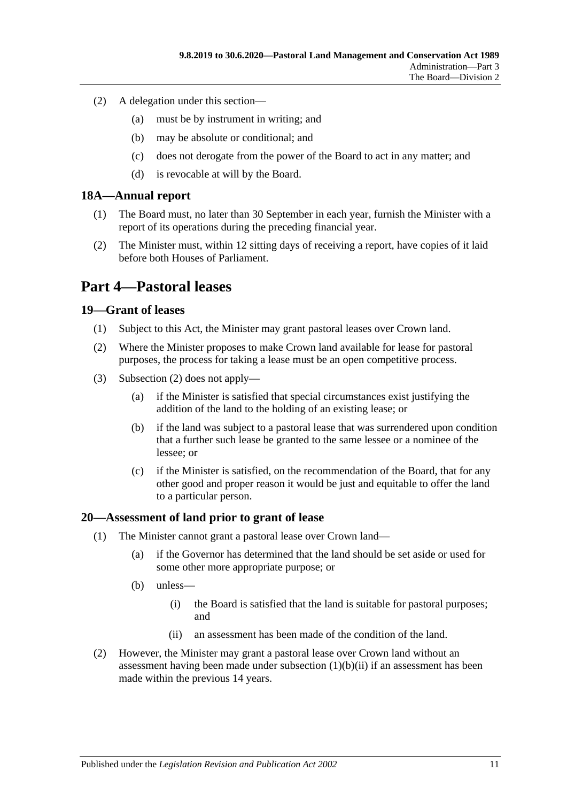- (2) A delegation under this section—
	- (a) must be by instrument in writing; and
	- (b) may be absolute or conditional; and
	- (c) does not derogate from the power of the Board to act in any matter; and
	- (d) is revocable at will by the Board.

#### <span id="page-10-0"></span>**18A—Annual report**

- (1) The Board must, no later than 30 September in each year, furnish the Minister with a report of its operations during the preceding financial year.
- (2) The Minister must, within 12 sitting days of receiving a report, have copies of it laid before both Houses of Parliament.

# <span id="page-10-1"></span>**Part 4—Pastoral leases**

#### <span id="page-10-2"></span>**19—Grant of leases**

- (1) Subject to this Act, the Minister may grant pastoral leases over Crown land.
- <span id="page-10-4"></span>(2) Where the Minister proposes to make Crown land available for lease for pastoral purposes, the process for taking a lease must be an open competitive process.
- (3) [Subsection](#page-10-4) (2) does not apply—
	- (a) if the Minister is satisfied that special circumstances exist justifying the addition of the land to the holding of an existing lease; or
	- (b) if the land was subject to a pastoral lease that was surrendered upon condition that a further such lease be granted to the same lessee or a nominee of the lessee; or
	- (c) if the Minister is satisfied, on the recommendation of the Board, that for any other good and proper reason it would be just and equitable to offer the land to a particular person.

#### <span id="page-10-3"></span>**20—Assessment of land prior to grant of lease**

- (1) The Minister cannot grant a pastoral lease over Crown land—
	- (a) if the Governor has determined that the land should be set aside or used for some other more appropriate purpose; or
	- (b) unless—
		- (i) the Board is satisfied that the land is suitable for pastoral purposes; and
		- (ii) an assessment has been made of the condition of the land.
- <span id="page-10-5"></span>(2) However, the Minister may grant a pastoral lease over Crown land without an assessment having been made under [subsection](#page-10-5) (1)(b)(ii) if an assessment has been made within the previous 14 years.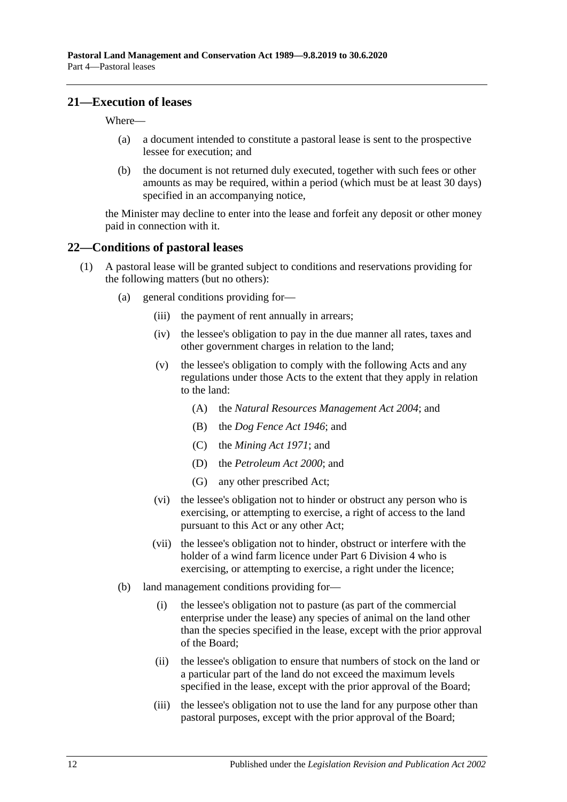#### <span id="page-11-0"></span>**21—Execution of leases**

Where—

- (a) a document intended to constitute a pastoral lease is sent to the prospective lessee for execution; and
- (b) the document is not returned duly executed, together with such fees or other amounts as may be required, within a period (which must be at least 30 days) specified in an accompanying notice,

the Minister may decline to enter into the lease and forfeit any deposit or other money paid in connection with it.

#### <span id="page-11-1"></span>**22—Conditions of pastoral leases**

- <span id="page-11-4"></span><span id="page-11-3"></span><span id="page-11-2"></span>(1) A pastoral lease will be granted subject to conditions and reservations providing for the following matters (but no others):
	- (a) general conditions providing for—
		- (iii) the payment of rent annually in arrears;
		- (iv) the lessee's obligation to pay in the due manner all rates, taxes and other government charges in relation to the land;
		- (v) the lessee's obligation to comply with the following Acts and any regulations under those Acts to the extent that they apply in relation to the land:
			- (A) the *[Natural Resources Management Act](http://www.legislation.sa.gov.au/index.aspx?action=legref&type=act&legtitle=Natural%20Resources%20Management%20Act%202004) 2004*; and
			- (B) the *[Dog Fence Act](http://www.legislation.sa.gov.au/index.aspx?action=legref&type=act&legtitle=Dog%20Fence%20Act%201946) 1946*; and
			- (C) the *[Mining Act](http://www.legislation.sa.gov.au/index.aspx?action=legref&type=act&legtitle=Mining%20Act%201971) 1971*; and
			- (D) the *[Petroleum Act](http://www.legislation.sa.gov.au/index.aspx?action=legref&type=act&legtitle=Petroleum%20Act%202000) 2000*; and
			- (G) any other prescribed Act;
		- (vi) the lessee's obligation not to hinder or obstruct any person who is exercising, or attempting to exercise, a right of access to the land pursuant to this Act or any other Act;
		- (vii) the lessee's obligation not to hinder, obstruct or interfere with the holder of a wind farm licence under [Part 6 Division](#page-32-1) 4 who is exercising, or attempting to exercise, a right under the licence;
	- (b) land management conditions providing for—
		- (i) the lessee's obligation not to pasture (as part of the commercial enterprise under the lease) any species of animal on the land other than the species specified in the lease, except with the prior approval of the Board;
		- (ii) the lessee's obligation to ensure that numbers of stock on the land or a particular part of the land do not exceed the maximum levels specified in the lease, except with the prior approval of the Board;
		- (iii) the lessee's obligation not to use the land for any purpose other than pastoral purposes, except with the prior approval of the Board;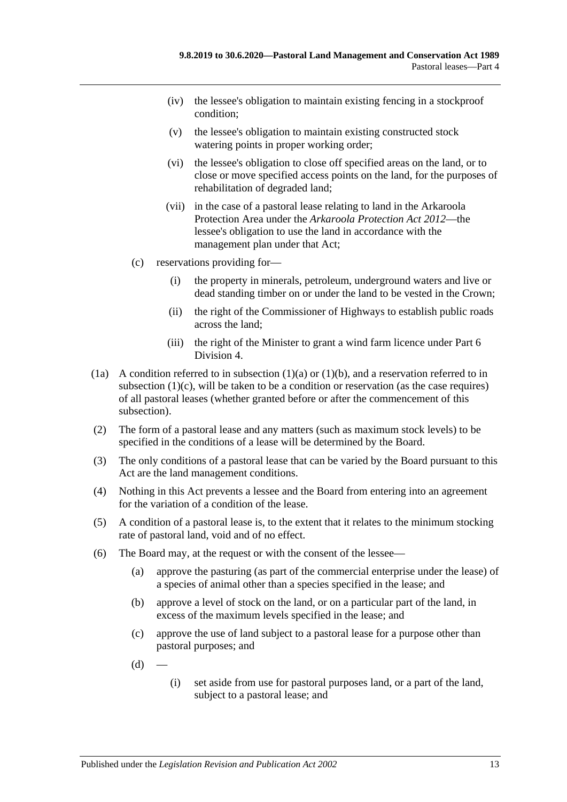- (iv) the lessee's obligation to maintain existing fencing in a stockproof condition;
- (v) the lessee's obligation to maintain existing constructed stock watering points in proper working order;
- (vi) the lessee's obligation to close off specified areas on the land, or to close or move specified access points on the land, for the purposes of rehabilitation of degraded land;
- (vii) in the case of a pastoral lease relating to land in the Arkaroola Protection Area under the *[Arkaroola Protection Act](http://www.legislation.sa.gov.au/index.aspx?action=legref&type=act&legtitle=Arkaroola%20Protection%20Act%202012) 2012*—the lessee's obligation to use the land in accordance with the management plan under that Act;
- <span id="page-12-0"></span>(c) reservations providing for—
	- (i) the property in minerals, petroleum, underground waters and live or dead standing timber on or under the land to be vested in the Crown;
	- (ii) the right of the Commissioner of Highways to establish public roads across the land;
	- (iii) the right of the Minister to grant a wind farm licence under [Part 6](#page-32-1)  [Division](#page-32-1) 4.
- (1a) A condition referred to in [subsection](#page-11-2)  $(1)(a)$  or  $(1)(b)$ , and a reservation referred to in [subsection](#page-12-0) (1)(c), will be taken to be a condition or reservation (as the case requires) of all pastoral leases (whether granted before or after the commencement of this subsection).
- (2) The form of a pastoral lease and any matters (such as maximum stock levels) to be specified in the conditions of a lease will be determined by the Board.
- (3) The only conditions of a pastoral lease that can be varied by the Board pursuant to this Act are the land management conditions.
- (4) Nothing in this Act prevents a lessee and the Board from entering into an agreement for the variation of a condition of the lease.
- (5) A condition of a pastoral lease is, to the extent that it relates to the minimum stocking rate of pastoral land, void and of no effect.
- <span id="page-12-1"></span>(6) The Board may, at the request or with the consent of the lessee—
	- (a) approve the pasturing (as part of the commercial enterprise under the lease) of a species of animal other than a species specified in the lease; and
	- (b) approve a level of stock on the land, or on a particular part of the land, in excess of the maximum levels specified in the lease; and
	- (c) approve the use of land subject to a pastoral lease for a purpose other than pastoral purposes; and
	- $(d)$
- (i) set aside from use for pastoral purposes land, or a part of the land, subject to a pastoral lease; and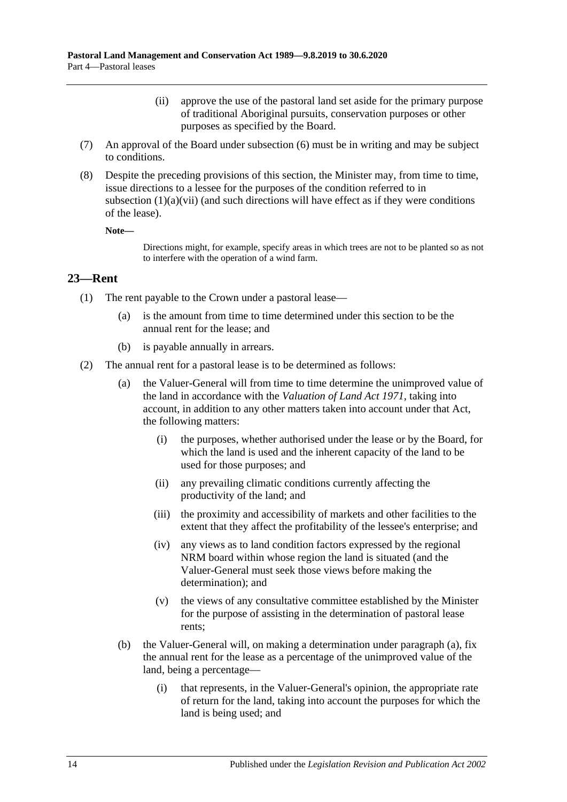- (ii) approve the use of the pastoral land set aside for the primary purpose of traditional Aboriginal pursuits, conservation purposes or other purposes as specified by the Board.
- (7) An approval of the Board under [subsection](#page-12-1) (6) must be in writing and may be subject to conditions.
- (8) Despite the preceding provisions of this section, the Minister may, from time to time, issue directions to a lessee for the purposes of the condition referred to in [subsection](#page-11-4)  $(1)(a)(vii)$  (and such directions will have effect as if they were conditions of the lease).

**Note—**

Directions might, for example, specify areas in which trees are not to be planted so as not to interfere with the operation of a wind farm.

#### <span id="page-13-0"></span>**23—Rent**

- (1) The rent payable to the Crown under a pastoral lease—
	- (a) is the amount from time to time determined under this section to be the annual rent for the lease; and
	- (b) is payable annually in arrears.
- <span id="page-13-1"></span>(2) The annual rent for a pastoral lease is to be determined as follows:
	- (a) the Valuer-General will from time to time determine the unimproved value of the land in accordance with the *[Valuation of Land Act](http://www.legislation.sa.gov.au/index.aspx?action=legref&type=act&legtitle=Valuation%20of%20Land%20Act%201971) 1971*, taking into account, in addition to any other matters taken into account under that Act, the following matters:
		- (i) the purposes, whether authorised under the lease or by the Board, for which the land is used and the inherent capacity of the land to be used for those purposes; and
		- (ii) any prevailing climatic conditions currently affecting the productivity of the land; and
		- (iii) the proximity and accessibility of markets and other facilities to the extent that they affect the profitability of the lessee's enterprise; and
		- (iv) any views as to land condition factors expressed by the regional NRM board within whose region the land is situated (and the Valuer-General must seek those views before making the determination); and
		- (v) the views of any consultative committee established by the Minister for the purpose of assisting in the determination of pastoral lease rents;
	- (b) the Valuer-General will, on making a determination under [paragraph](#page-13-1) (a), fix the annual rent for the lease as a percentage of the unimproved value of the land, being a percentage—
		- (i) that represents, in the Valuer-General's opinion, the appropriate rate of return for the land, taking into account the purposes for which the land is being used; and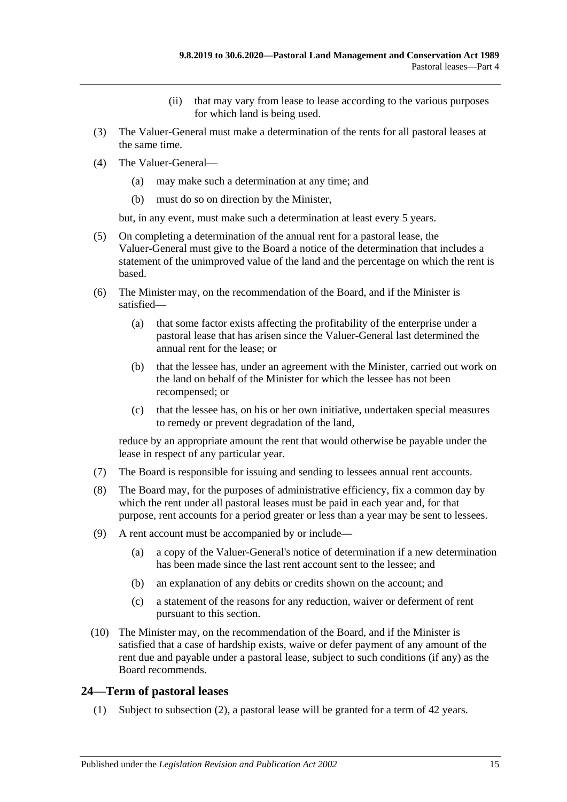- (ii) that may vary from lease to lease according to the various purposes for which land is being used.
- (3) The Valuer-General must make a determination of the rents for all pastoral leases at the same time.
- (4) The Valuer-General—
	- (a) may make such a determination at any time; and
	- (b) must do so on direction by the Minister,

but, in any event, must make such a determination at least every 5 years.

- (5) On completing a determination of the annual rent for a pastoral lease, the Valuer-General must give to the Board a notice of the determination that includes a statement of the unimproved value of the land and the percentage on which the rent is based.
- (6) The Minister may, on the recommendation of the Board, and if the Minister is satisfied—
	- (a) that some factor exists affecting the profitability of the enterprise under a pastoral lease that has arisen since the Valuer-General last determined the annual rent for the lease; or
	- (b) that the lessee has, under an agreement with the Minister, carried out work on the land on behalf of the Minister for which the lessee has not been recompensed; or
	- (c) that the lessee has, on his or her own initiative, undertaken special measures to remedy or prevent degradation of the land,

reduce by an appropriate amount the rent that would otherwise be payable under the lease in respect of any particular year.

- (7) The Board is responsible for issuing and sending to lessees annual rent accounts.
- (8) The Board may, for the purposes of administrative efficiency, fix a common day by which the rent under all pastoral leases must be paid in each year and, for that purpose, rent accounts for a period greater or less than a year may be sent to lessees.
- (9) A rent account must be accompanied by or include—
	- (a) a copy of the Valuer-General's notice of determination if a new determination has been made since the last rent account sent to the lessee; and
	- (b) an explanation of any debits or credits shown on the account; and
	- (c) a statement of the reasons for any reduction, waiver or deferment of rent pursuant to this section.
- (10) The Minister may, on the recommendation of the Board, and if the Minister is satisfied that a case of hardship exists, waive or defer payment of any amount of the rent due and payable under a pastoral lease, subject to such conditions (if any) as the Board recommends.

## <span id="page-14-0"></span>**24—Term of pastoral leases**

(1) Subject to [subsection](#page-15-2) (2), a pastoral lease will be granted for a term of 42 years.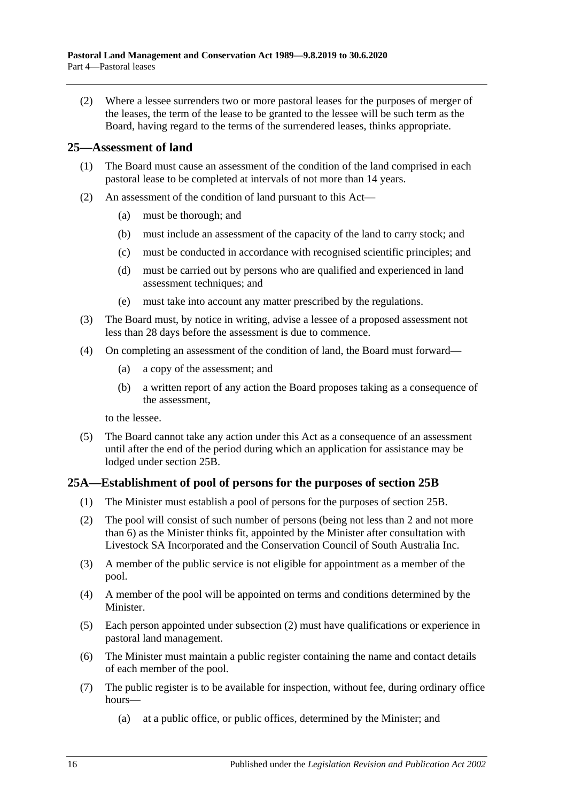<span id="page-15-2"></span>(2) Where a lessee surrenders two or more pastoral leases for the purposes of merger of the leases, the term of the lease to be granted to the lessee will be such term as the Board, having regard to the terms of the surrendered leases, thinks appropriate.

#### <span id="page-15-0"></span>**25—Assessment of land**

- (1) The Board must cause an assessment of the condition of the land comprised in each pastoral lease to be completed at intervals of not more than 14 years.
- (2) An assessment of the condition of land pursuant to this Act—
	- (a) must be thorough; and
	- (b) must include an assessment of the capacity of the land to carry stock; and
	- (c) must be conducted in accordance with recognised scientific principles; and
	- (d) must be carried out by persons who are qualified and experienced in land assessment techniques; and
	- (e) must take into account any matter prescribed by the regulations.
- (3) The Board must, by notice in writing, advise a lessee of a proposed assessment not less than 28 days before the assessment is due to commence.
- <span id="page-15-4"></span>(4) On completing an assessment of the condition of land, the Board must forward—
	- (a) a copy of the assessment; and
	- (b) a written report of any action the Board proposes taking as a consequence of the assessment,

to the lessee.

(5) The Board cannot take any action under this Act as a consequence of an assessment until after the end of the period during which an application for assistance may be lodged under [section](#page-16-0) 25B.

## <span id="page-15-1"></span>**25A—Establishment of pool of persons for the purposes of [section](#page-16-0) 25B**

- (1) The Minister must establish a pool of persons for the purposes of [section](#page-16-0) 25B.
- <span id="page-15-3"></span>(2) The pool will consist of such number of persons (being not less than 2 and not more than 6) as the Minister thinks fit, appointed by the Minister after consultation with Livestock SA Incorporated and the Conservation Council of South Australia Inc.
- (3) A member of the public service is not eligible for appointment as a member of the pool.
- (4) A member of the pool will be appointed on terms and conditions determined by the Minister.
- (5) Each person appointed under [subsection](#page-15-3) (2) must have qualifications or experience in pastoral land management.
- (6) The Minister must maintain a public register containing the name and contact details of each member of the pool.
- (7) The public register is to be available for inspection, without fee, during ordinary office hours—
	- (a) at a public office, or public offices, determined by the Minister; and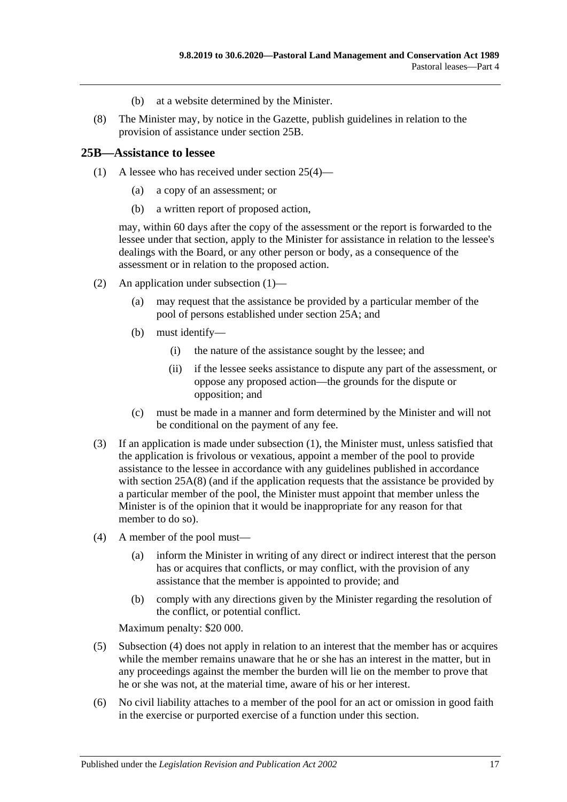- (b) at a website determined by the Minister.
- <span id="page-16-2"></span>(8) The Minister may, by notice in the Gazette, publish guidelines in relation to the provision of assistance under [section](#page-16-0) 25B.

#### <span id="page-16-1"></span><span id="page-16-0"></span>**25B—Assistance to lessee**

- (1) A lessee who has received under [section](#page-15-4) 25(4)—
	- (a) a copy of an assessment; or
	- (b) a written report of proposed action,

may, within 60 days after the copy of the assessment or the report is forwarded to the lessee under that section, apply to the Minister for assistance in relation to the lessee's dealings with the Board, or any other person or body, as a consequence of the assessment or in relation to the proposed action.

- (2) An application under [subsection](#page-16-1) (1)—
	- (a) may request that the assistance be provided by a particular member of the pool of persons established under [section](#page-15-1) 25A; and
	- (b) must identify—
		- (i) the nature of the assistance sought by the lessee; and
		- (ii) if the lessee seeks assistance to dispute any part of the assessment, or oppose any proposed action—the grounds for the dispute or opposition; and
	- (c) must be made in a manner and form determined by the Minister and will not be conditional on the payment of any fee.
- (3) If an application is made under [subsection](#page-16-1) (1), the Minister must, unless satisfied that the application is frivolous or vexatious, appoint a member of the pool to provide assistance to the lessee in accordance with any guidelines published in accordance with [section](#page-16-2) 25A(8) (and if the application requests that the assistance be provided by a particular member of the pool, the Minister must appoint that member unless the Minister is of the opinion that it would be inappropriate for any reason for that member to do so).
- <span id="page-16-3"></span>(4) A member of the pool must—
	- (a) inform the Minister in writing of any direct or indirect interest that the person has or acquires that conflicts, or may conflict, with the provision of any assistance that the member is appointed to provide; and
	- (b) comply with any directions given by the Minister regarding the resolution of the conflict, or potential conflict.

Maximum penalty: \$20 000.

- (5) [Subsection](#page-16-3) (4) does not apply in relation to an interest that the member has or acquires while the member remains unaware that he or she has an interest in the matter, but in any proceedings against the member the burden will lie on the member to prove that he or she was not, at the material time, aware of his or her interest.
- (6) No civil liability attaches to a member of the pool for an act or omission in good faith in the exercise or purported exercise of a function under this section.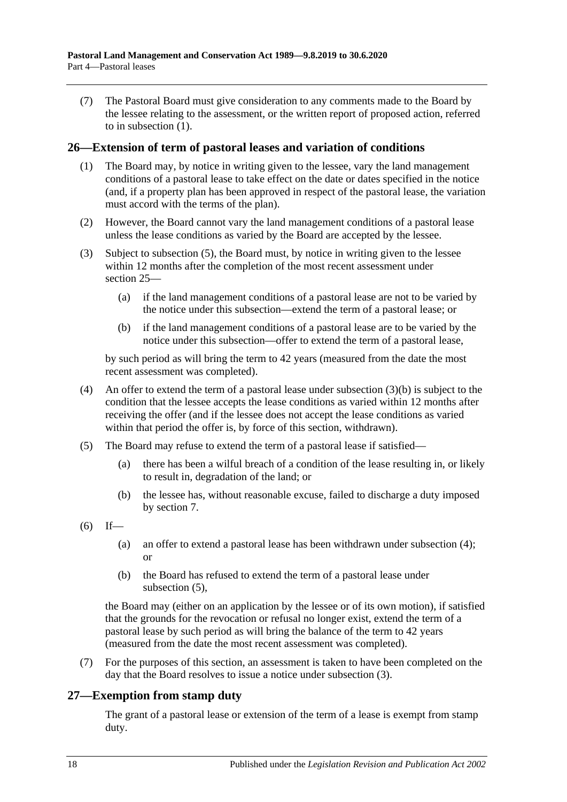(7) The Pastoral Board must give consideration to any comments made to the Board by the lessee relating to the assessment, or the written report of proposed action, referred to in [subsection](#page-16-1) (1).

#### <span id="page-17-0"></span>**26—Extension of term of pastoral leases and variation of conditions**

- (1) The Board may, by notice in writing given to the lessee, vary the land management conditions of a pastoral lease to take effect on the date or dates specified in the notice (and, if a property plan has been approved in respect of the pastoral lease, the variation must accord with the terms of the plan).
- (2) However, the Board cannot vary the land management conditions of a pastoral lease unless the lease conditions as varied by the Board are accepted by the lessee.
- <span id="page-17-5"></span>(3) Subject to [subsection](#page-17-2) (5), the Board must, by notice in writing given to the lessee within 12 months after the completion of the most recent assessment under [section](#page-15-0) 25—
	- (a) if the land management conditions of a pastoral lease are not to be varied by the notice under this subsection—extend the term of a pastoral lease; or
	- (b) if the land management conditions of a pastoral lease are to be varied by the notice under this subsection—offer to extend the term of a pastoral lease,

<span id="page-17-3"></span>by such period as will bring the term to 42 years (measured from the date the most recent assessment was completed).

- <span id="page-17-4"></span>(4) An offer to extend the term of a pastoral lease under [subsection](#page-17-3)  $(3)(b)$  is subject to the condition that the lessee accepts the lease conditions as varied within 12 months after receiving the offer (and if the lessee does not accept the lease conditions as varied within that period the offer is, by force of this section, withdrawn).
- <span id="page-17-2"></span>(5) The Board may refuse to extend the term of a pastoral lease if satisfied—
	- (a) there has been a wilful breach of a condition of the lease resulting in, or likely to result in, degradation of the land; or
	- (b) the lessee has, without reasonable excuse, failed to discharge a duty imposed by [section](#page-5-1) 7.
- $(6)$  If—
	- (a) an offer to extend a pastoral lease has been withdrawn under [subsection](#page-17-4) (4); or
	- (b) the Board has refused to extend the term of a pastoral lease under [subsection](#page-17-2) (5),

the Board may (either on an application by the lessee or of its own motion), if satisfied that the grounds for the revocation or refusal no longer exist, extend the term of a pastoral lease by such period as will bring the balance of the term to 42 years (measured from the date the most recent assessment was completed).

(7) For the purposes of this section, an assessment is taken to have been completed on the day that the Board resolves to issue a notice under [subsection](#page-17-5) (3).

## <span id="page-17-1"></span>**27—Exemption from stamp duty**

The grant of a pastoral lease or extension of the term of a lease is exempt from stamp duty.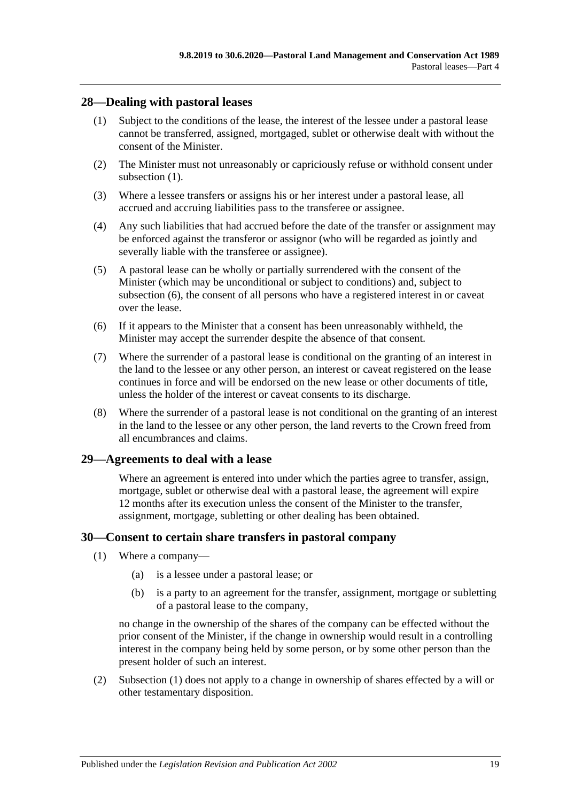## <span id="page-18-3"></span><span id="page-18-0"></span>**28—Dealing with pastoral leases**

- (1) Subject to the conditions of the lease, the interest of the lessee under a pastoral lease cannot be transferred, assigned, mortgaged, sublet or otherwise dealt with without the consent of the Minister.
- (2) The Minister must not unreasonably or capriciously refuse or withhold consent under [subsection](#page-18-3) (1).
- (3) Where a lessee transfers or assigns his or her interest under a pastoral lease, all accrued and accruing liabilities pass to the transferee or assignee.
- (4) Any such liabilities that had accrued before the date of the transfer or assignment may be enforced against the transferor or assignor (who will be regarded as jointly and severally liable with the transferee or assignee).
- (5) A pastoral lease can be wholly or partially surrendered with the consent of the Minister (which may be unconditional or subject to conditions) and, subject to [subsection](#page-18-4) (6), the consent of all persons who have a registered interest in or caveat over the lease.
- <span id="page-18-4"></span>(6) If it appears to the Minister that a consent has been unreasonably withheld, the Minister may accept the surrender despite the absence of that consent.
- (7) Where the surrender of a pastoral lease is conditional on the granting of an interest in the land to the lessee or any other person, an interest or caveat registered on the lease continues in force and will be endorsed on the new lease or other documents of title, unless the holder of the interest or caveat consents to its discharge.
- (8) Where the surrender of a pastoral lease is not conditional on the granting of an interest in the land to the lessee or any other person, the land reverts to the Crown freed from all encumbrances and claims.

## <span id="page-18-1"></span>**29—Agreements to deal with a lease**

Where an agreement is entered into under which the parties agree to transfer, assign, mortgage, sublet or otherwise deal with a pastoral lease, the agreement will expire 12 months after its execution unless the consent of the Minister to the transfer, assignment, mortgage, subletting or other dealing has been obtained.

## <span id="page-18-5"></span><span id="page-18-2"></span>**30—Consent to certain share transfers in pastoral company**

- (1) Where a company—
	- (a) is a lessee under a pastoral lease; or
	- (b) is a party to an agreement for the transfer, assignment, mortgage or subletting of a pastoral lease to the company,

no change in the ownership of the shares of the company can be effected without the prior consent of the Minister, if the change in ownership would result in a controlling interest in the company being held by some person, or by some other person than the present holder of such an interest.

(2) [Subsection](#page-18-5) (1) does not apply to a change in ownership of shares effected by a will or other testamentary disposition.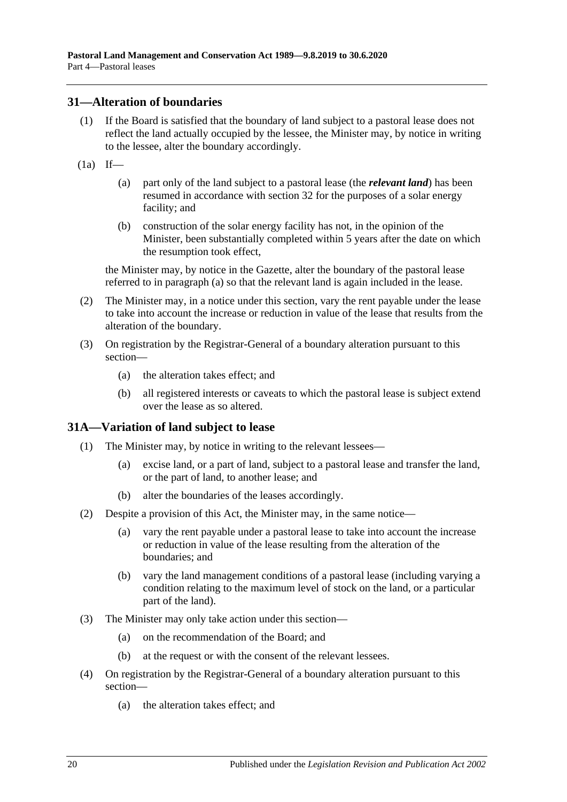#### <span id="page-19-0"></span>**31—Alteration of boundaries**

- (1) If the Board is satisfied that the boundary of land subject to a pastoral lease does not reflect the land actually occupied by the lessee, the Minister may, by notice in writing to the lessee, alter the boundary accordingly.
- <span id="page-19-2"></span> $(1a)$  If—
	- (a) part only of the land subject to a pastoral lease (the *relevant land*) has been resumed in accordance with [section](#page-20-0) 32 for the purposes of a solar energy facility; and
	- (b) construction of the solar energy facility has not, in the opinion of the Minister, been substantially completed within 5 years after the date on which the resumption took effect,

the Minister may, by notice in the Gazette, alter the boundary of the pastoral lease referred to in [paragraph](#page-19-2) (a) so that the relevant land is again included in the lease.

- (2) The Minister may, in a notice under this section, vary the rent payable under the lease to take into account the increase or reduction in value of the lease that results from the alteration of the boundary.
- (3) On registration by the Registrar-General of a boundary alteration pursuant to this section—
	- (a) the alteration takes effect; and
	- (b) all registered interests or caveats to which the pastoral lease is subject extend over the lease as so altered.

## <span id="page-19-1"></span>**31A—Variation of land subject to lease**

- (1) The Minister may, by notice in writing to the relevant lessees—
	- (a) excise land, or a part of land, subject to a pastoral lease and transfer the land, or the part of land, to another lease; and
	- (b) alter the boundaries of the leases accordingly.
- (2) Despite a provision of this Act, the Minister may, in the same notice—
	- (a) vary the rent payable under a pastoral lease to take into account the increase or reduction in value of the lease resulting from the alteration of the boundaries; and
	- (b) vary the land management conditions of a pastoral lease (including varying a condition relating to the maximum level of stock on the land, or a particular part of the land).
- (3) The Minister may only take action under this section—
	- (a) on the recommendation of the Board; and
	- (b) at the request or with the consent of the relevant lessees.
- (4) On registration by the Registrar-General of a boundary alteration pursuant to this section—
	- (a) the alteration takes effect; and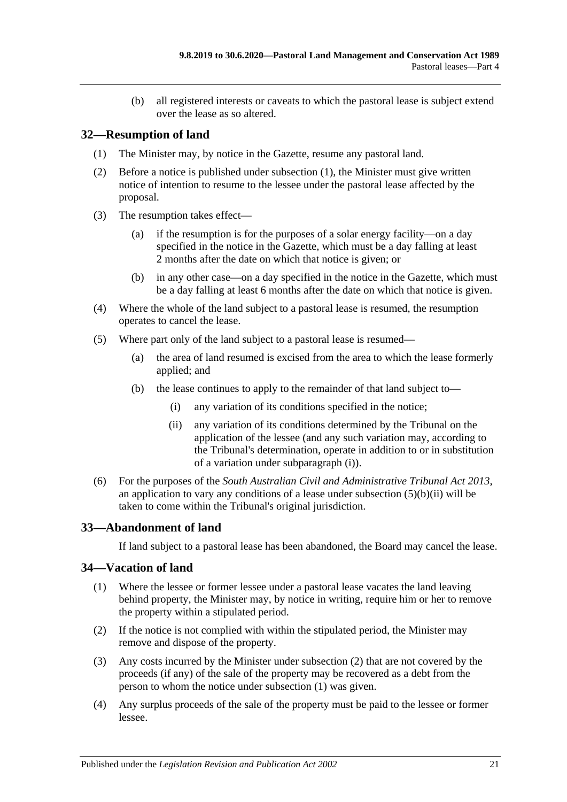(b) all registered interests or caveats to which the pastoral lease is subject extend over the lease as so altered.

## <span id="page-20-3"></span><span id="page-20-0"></span>**32—Resumption of land**

- (1) The Minister may, by notice in the Gazette, resume any pastoral land.
- (2) Before a notice is published under [subsection](#page-20-3) (1), the Minister must give written notice of intention to resume to the lessee under the pastoral lease affected by the proposal.
- (3) The resumption takes effect—
	- (a) if the resumption is for the purposes of a solar energy facility—on a day specified in the notice in the Gazette, which must be a day falling at least 2 months after the date on which that notice is given; or
	- (b) in any other case—on a day specified in the notice in the Gazette, which must be a day falling at least 6 months after the date on which that notice is given.
- (4) Where the whole of the land subject to a pastoral lease is resumed, the resumption operates to cancel the lease.
- <span id="page-20-4"></span>(5) Where part only of the land subject to a pastoral lease is resumed—
	- (a) the area of land resumed is excised from the area to which the lease formerly applied; and
	- (b) the lease continues to apply to the remainder of that land subject to—
		- (i) any variation of its conditions specified in the notice;
		- (ii) any variation of its conditions determined by the Tribunal on the application of the lessee (and any such variation may, according to the Tribunal's determination, operate in addition to or in substitution of a variation under [subparagraph](#page-20-4) (i)).
- <span id="page-20-5"></span>(6) For the purposes of the *[South Australian Civil and Administrative Tribunal Act](http://www.legislation.sa.gov.au/index.aspx?action=legref&type=act&legtitle=South%20Australian%20Civil%20and%20Administrative%20Tribunal%20Act%202013) 2013*, an application to vary any conditions of a lease under [subsection](#page-20-5)  $(5)(b)(ii)$  will be taken to come within the Tribunal's original jurisdiction.

# <span id="page-20-1"></span>**33—Abandonment of land**

If land subject to a pastoral lease has been abandoned, the Board may cancel the lease.

## <span id="page-20-7"></span><span id="page-20-2"></span>**34—Vacation of land**

- (1) Where the lessee or former lessee under a pastoral lease vacates the land leaving behind property, the Minister may, by notice in writing, require him or her to remove the property within a stipulated period.
- <span id="page-20-6"></span>(2) If the notice is not complied with within the stipulated period, the Minister may remove and dispose of the property.
- (3) Any costs incurred by the Minister under [subsection](#page-20-6) (2) that are not covered by the proceeds (if any) of the sale of the property may be recovered as a debt from the person to whom the notice under [subsection](#page-20-7) (1) was given.
- (4) Any surplus proceeds of the sale of the property must be paid to the lessee or former lessee.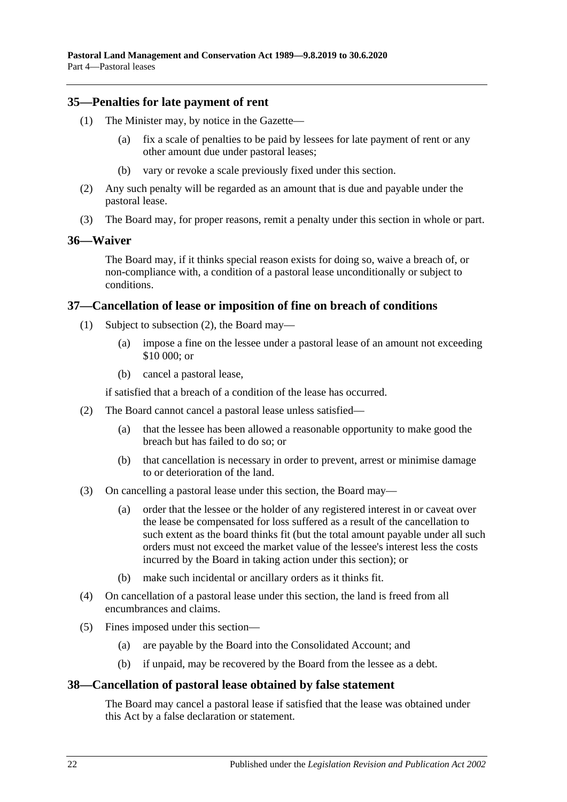#### <span id="page-21-0"></span>**35—Penalties for late payment of rent**

- (1) The Minister may, by notice in the Gazette—
	- (a) fix a scale of penalties to be paid by lessees for late payment of rent or any other amount due under pastoral leases;
	- (b) vary or revoke a scale previously fixed under this section.
- (2) Any such penalty will be regarded as an amount that is due and payable under the pastoral lease.
- (3) The Board may, for proper reasons, remit a penalty under this section in whole or part.

#### <span id="page-21-1"></span>**36—Waiver**

The Board may, if it thinks special reason exists for doing so, waive a breach of, or non-compliance with, a condition of a pastoral lease unconditionally or subject to conditions.

#### <span id="page-21-2"></span>**37—Cancellation of lease or imposition of fine on breach of conditions**

- (1) Subject to [subsection](#page-21-4) (2), the Board may—
	- (a) impose a fine on the lessee under a pastoral lease of an amount not exceeding \$10 000; or
	- (b) cancel a pastoral lease,

if satisfied that a breach of a condition of the lease has occurred.

- <span id="page-21-4"></span>(2) The Board cannot cancel a pastoral lease unless satisfied—
	- (a) that the lessee has been allowed a reasonable opportunity to make good the breach but has failed to do so; or
	- (b) that cancellation is necessary in order to prevent, arrest or minimise damage to or deterioration of the land.
- (3) On cancelling a pastoral lease under this section, the Board may—
	- (a) order that the lessee or the holder of any registered interest in or caveat over the lease be compensated for loss suffered as a result of the cancellation to such extent as the board thinks fit (but the total amount payable under all such orders must not exceed the market value of the lessee's interest less the costs incurred by the Board in taking action under this section); or
	- (b) make such incidental or ancillary orders as it thinks fit.
- (4) On cancellation of a pastoral lease under this section, the land is freed from all encumbrances and claims.
- (5) Fines imposed under this section—
	- (a) are payable by the Board into the Consolidated Account; and
	- (b) if unpaid, may be recovered by the Board from the lessee as a debt.

#### <span id="page-21-3"></span>**38—Cancellation of pastoral lease obtained by false statement**

The Board may cancel a pastoral lease if satisfied that the lease was obtained under this Act by a false declaration or statement.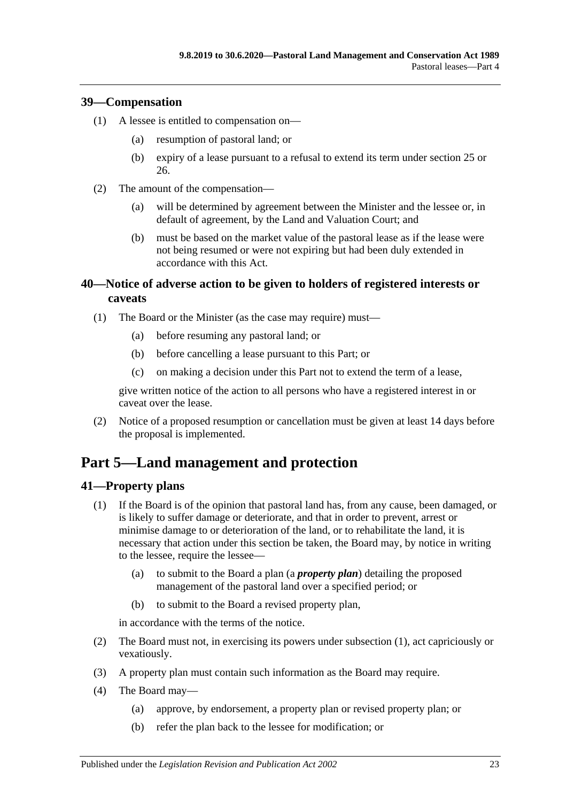## <span id="page-22-0"></span>**39—Compensation**

- (1) A lessee is entitled to compensation on—
	- (a) resumption of pastoral land; or
	- (b) expiry of a lease pursuant to a refusal to extend its term under [section](#page-15-0) 25 or [26.](#page-17-0)
- (2) The amount of the compensation—
	- (a) will be determined by agreement between the Minister and the lessee or, in default of agreement, by the Land and Valuation Court; and
	- (b) must be based on the market value of the pastoral lease as if the lease were not being resumed or were not expiring but had been duly extended in accordance with this Act.

## <span id="page-22-1"></span>**40—Notice of adverse action to be given to holders of registered interests or caveats**

- (1) The Board or the Minister (as the case may require) must—
	- (a) before resuming any pastoral land; or
	- (b) before cancelling a lease pursuant to this Part; or
	- (c) on making a decision under this Part not to extend the term of a lease,

give written notice of the action to all persons who have a registered interest in or caveat over the lease.

(2) Notice of a proposed resumption or cancellation must be given at least 14 days before the proposal is implemented.

# <span id="page-22-2"></span>**Part 5—Land management and protection**

# <span id="page-22-4"></span><span id="page-22-3"></span>**41—Property plans**

- (1) If the Board is of the opinion that pastoral land has, from any cause, been damaged, or is likely to suffer damage or deteriorate, and that in order to prevent, arrest or minimise damage to or deterioration of the land, or to rehabilitate the land, it is necessary that action under this section be taken, the Board may, by notice in writing to the lessee, require the lessee—
	- (a) to submit to the Board a plan (a *property plan*) detailing the proposed management of the pastoral land over a specified period; or
	- (b) to submit to the Board a revised property plan,

in accordance with the terms of the notice.

- (2) The Board must not, in exercising its powers under [subsection](#page-22-4) (1), act capriciously or vexatiously.
- (3) A property plan must contain such information as the Board may require.
- <span id="page-22-5"></span>(4) The Board may—
	- (a) approve, by endorsement, a property plan or revised property plan; or
	- (b) refer the plan back to the lessee for modification; or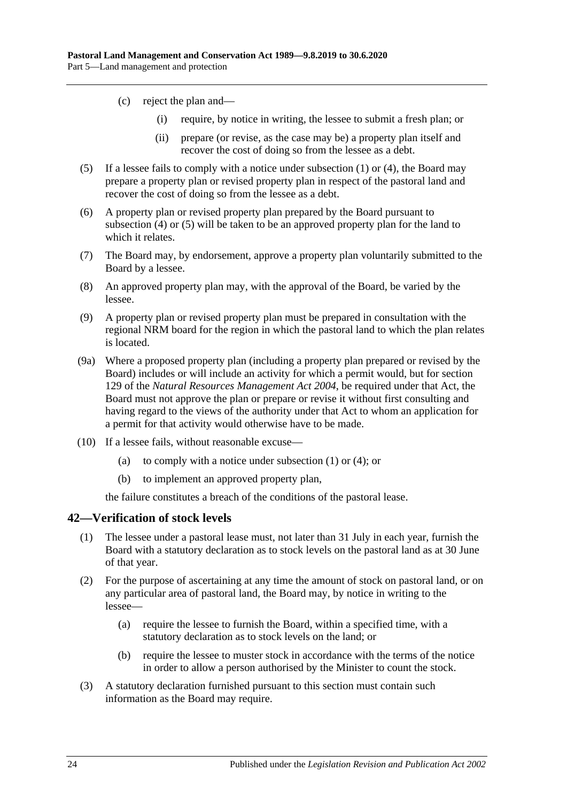- (c) reject the plan and—
	- (i) require, by notice in writing, the lessee to submit a fresh plan; or
	- (ii) prepare (or revise, as the case may be) a property plan itself and recover the cost of doing so from the lessee as a debt.
- <span id="page-23-1"></span>(5) If a lessee fails to comply with a notice under [subsection](#page-22-4) (1) or [\(4\),](#page-22-5) the Board may prepare a property plan or revised property plan in respect of the pastoral land and recover the cost of doing so from the lessee as a debt.
- (6) A property plan or revised property plan prepared by the Board pursuant to [subsection](#page-22-5) (4) or [\(5\)](#page-23-1) will be taken to be an approved property plan for the land to which it relates.
- (7) The Board may, by endorsement, approve a property plan voluntarily submitted to the Board by a lessee.
- (8) An approved property plan may, with the approval of the Board, be varied by the lessee.
- (9) A property plan or revised property plan must be prepared in consultation with the regional NRM board for the region in which the pastoral land to which the plan relates is located.
- (9a) Where a proposed property plan (including a property plan prepared or revised by the Board) includes or will include an activity for which a permit would, but for section 129 of the *[Natural Resources Management Act](http://www.legislation.sa.gov.au/index.aspx?action=legref&type=act&legtitle=Natural%20Resources%20Management%20Act%202004) 2004*, be required under that Act, the Board must not approve the plan or prepare or revise it without first consulting and having regard to the views of the authority under that Act to whom an application for a permit for that activity would otherwise have to be made.
- (10) If a lessee fails, without reasonable excuse
	- (a) to comply with a notice under [subsection](#page-22-4)  $(1)$  or  $(4)$ ; or
	- (b) to implement an approved property plan,

the failure constitutes a breach of the conditions of the pastoral lease.

#### <span id="page-23-0"></span>**42—Verification of stock levels**

- (1) The lessee under a pastoral lease must, not later than 31 July in each year, furnish the Board with a statutory declaration as to stock levels on the pastoral land as at 30 June of that year.
- (2) For the purpose of ascertaining at any time the amount of stock on pastoral land, or on any particular area of pastoral land, the Board may, by notice in writing to the lessee—
	- (a) require the lessee to furnish the Board, within a specified time, with a statutory declaration as to stock levels on the land; or
	- (b) require the lessee to muster stock in accordance with the terms of the notice in order to allow a person authorised by the Minister to count the stock.
- <span id="page-23-2"></span>(3) A statutory declaration furnished pursuant to this section must contain such information as the Board may require.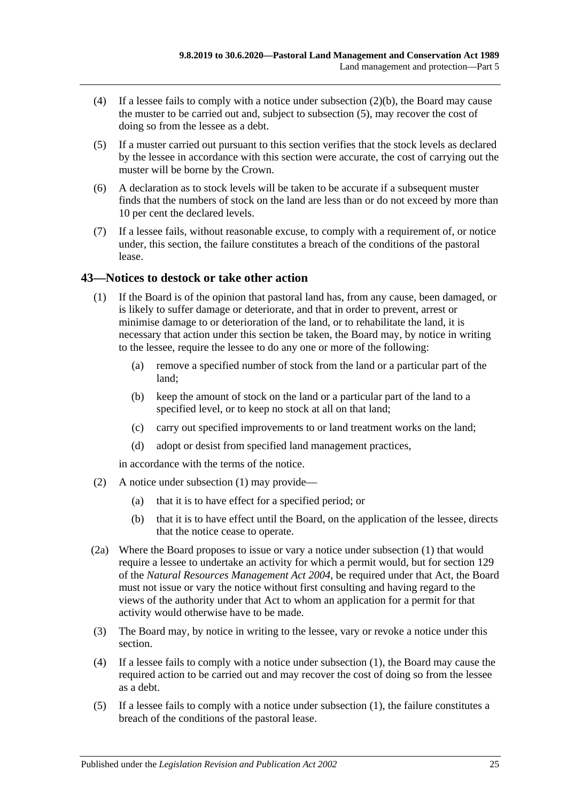- (4) If a lessee fails to comply with a notice under [subsection](#page-23-2) (2)(b), the Board may cause the muster to be carried out and, subject to [subsection](#page-24-1) (5), may recover the cost of doing so from the lessee as a debt.
- <span id="page-24-1"></span>(5) If a muster carried out pursuant to this section verifies that the stock levels as declared by the lessee in accordance with this section were accurate, the cost of carrying out the muster will be borne by the Crown.
- (6) A declaration as to stock levels will be taken to be accurate if a subsequent muster finds that the numbers of stock on the land are less than or do not exceed by more than 10 per cent the declared levels.
- (7) If a lessee fails, without reasonable excuse, to comply with a requirement of, or notice under, this section, the failure constitutes a breach of the conditions of the pastoral lease.

## <span id="page-24-2"></span><span id="page-24-0"></span>**43—Notices to destock or take other action**

- (1) If the Board is of the opinion that pastoral land has, from any cause, been damaged, or is likely to suffer damage or deteriorate, and that in order to prevent, arrest or minimise damage to or deterioration of the land, or to rehabilitate the land, it is necessary that action under this section be taken, the Board may, by notice in writing to the lessee, require the lessee to do any one or more of the following:
	- (a) remove a specified number of stock from the land or a particular part of the land;
	- (b) keep the amount of stock on the land or a particular part of the land to a specified level, or to keep no stock at all on that land;
	- (c) carry out specified improvements to or land treatment works on the land;
	- (d) adopt or desist from specified land management practices,

in accordance with the terms of the notice.

- (2) A notice under [subsection](#page-24-2) (1) may provide—
	- (a) that it is to have effect for a specified period; or
	- (b) that it is to have effect until the Board, on the application of the lessee, directs that the notice cease to operate.
- (2a) Where the Board proposes to issue or vary a notice under [subsection](#page-24-2) (1) that would require a lessee to undertake an activity for which a permit would, but for section 129 of the *[Natural Resources Management Act](http://www.legislation.sa.gov.au/index.aspx?action=legref&type=act&legtitle=Natural%20Resources%20Management%20Act%202004) 2004*, be required under that Act, the Board must not issue or vary the notice without first consulting and having regard to the views of the authority under that Act to whom an application for a permit for that activity would otherwise have to be made.
- (3) The Board may, by notice in writing to the lessee, vary or revoke a notice under this section.
- (4) If a lessee fails to comply with a notice under [subsection](#page-24-2) (1), the Board may cause the required action to be carried out and may recover the cost of doing so from the lessee as a debt.
- (5) If a lessee fails to comply with a notice under [subsection](#page-24-2) (1), the failure constitutes a breach of the conditions of the pastoral lease.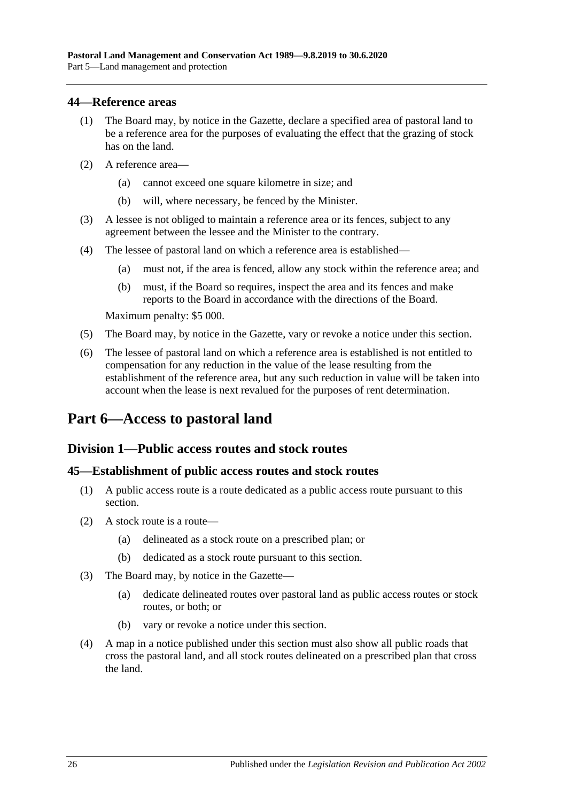#### <span id="page-25-0"></span>**44—Reference areas**

- (1) The Board may, by notice in the Gazette, declare a specified area of pastoral land to be a reference area for the purposes of evaluating the effect that the grazing of stock has on the land.
- (2) A reference area—
	- (a) cannot exceed one square kilometre in size; and
	- (b) will, where necessary, be fenced by the Minister.
- (3) A lessee is not obliged to maintain a reference area or its fences, subject to any agreement between the lessee and the Minister to the contrary.
- (4) The lessee of pastoral land on which a reference area is established—
	- (a) must not, if the area is fenced, allow any stock within the reference area; and
	- (b) must, if the Board so requires, inspect the area and its fences and make reports to the Board in accordance with the directions of the Board.

Maximum penalty: \$5 000.

- (5) The Board may, by notice in the Gazette, vary or revoke a notice under this section.
- (6) The lessee of pastoral land on which a reference area is established is not entitled to compensation for any reduction in the value of the lease resulting from the establishment of the reference area, but any such reduction in value will be taken into account when the lease is next revalued for the purposes of rent determination.

# <span id="page-25-1"></span>**Part 6—Access to pastoral land**

## <span id="page-25-2"></span>**Division 1—Public access routes and stock routes**

#### <span id="page-25-3"></span>**45—Establishment of public access routes and stock routes**

- (1) A public access route is a route dedicated as a public access route pursuant to this section.
- (2) A stock route is a route—
	- (a) delineated as a stock route on a prescribed plan; or
	- (b) dedicated as a stock route pursuant to this section.
- (3) The Board may, by notice in the Gazette—
	- (a) dedicate delineated routes over pastoral land as public access routes or stock routes, or both; or
	- (b) vary or revoke a notice under this section.
- (4) A map in a notice published under this section must also show all public roads that cross the pastoral land, and all stock routes delineated on a prescribed plan that cross the land.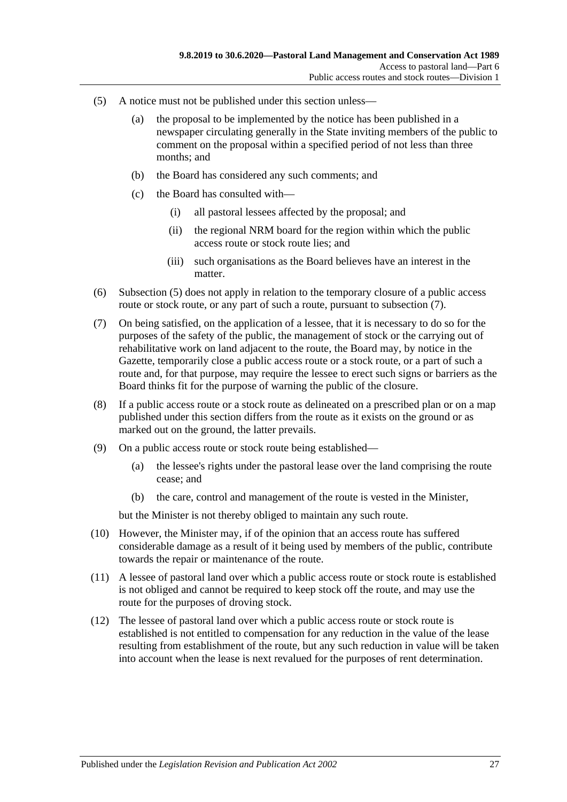- <span id="page-26-0"></span>(5) A notice must not be published under this section unless—
	- (a) the proposal to be implemented by the notice has been published in a newspaper circulating generally in the State inviting members of the public to comment on the proposal within a specified period of not less than three months; and
	- (b) the Board has considered any such comments; and
	- (c) the Board has consulted with—
		- (i) all pastoral lessees affected by the proposal; and
		- (ii) the regional NRM board for the region within which the public access route or stock route lies; and
		- (iii) such organisations as the Board believes have an interest in the matter.
- (6) [Subsection](#page-26-0) (5) does not apply in relation to the temporary closure of a public access route or stock route, or any part of such a route, pursuant to [subsection](#page-26-1)  $(7)$ .
- <span id="page-26-1"></span>(7) On being satisfied, on the application of a lessee, that it is necessary to do so for the purposes of the safety of the public, the management of stock or the carrying out of rehabilitative work on land adjacent to the route, the Board may, by notice in the Gazette, temporarily close a public access route or a stock route, or a part of such a route and, for that purpose, may require the lessee to erect such signs or barriers as the Board thinks fit for the purpose of warning the public of the closure.
- (8) If a public access route or a stock route as delineated on a prescribed plan or on a map published under this section differs from the route as it exists on the ground or as marked out on the ground, the latter prevails.
- (9) On a public access route or stock route being established—
	- (a) the lessee's rights under the pastoral lease over the land comprising the route cease; and
	- (b) the care, control and management of the route is vested in the Minister,

but the Minister is not thereby obliged to maintain any such route.

- (10) However, the Minister may, if of the opinion that an access route has suffered considerable damage as a result of it being used by members of the public, contribute towards the repair or maintenance of the route.
- (11) A lessee of pastoral land over which a public access route or stock route is established is not obliged and cannot be required to keep stock off the route, and may use the route for the purposes of droving stock.
- (12) The lessee of pastoral land over which a public access route or stock route is established is not entitled to compensation for any reduction in the value of the lease resulting from establishment of the route, but any such reduction in value will be taken into account when the lease is next revalued for the purposes of rent determination.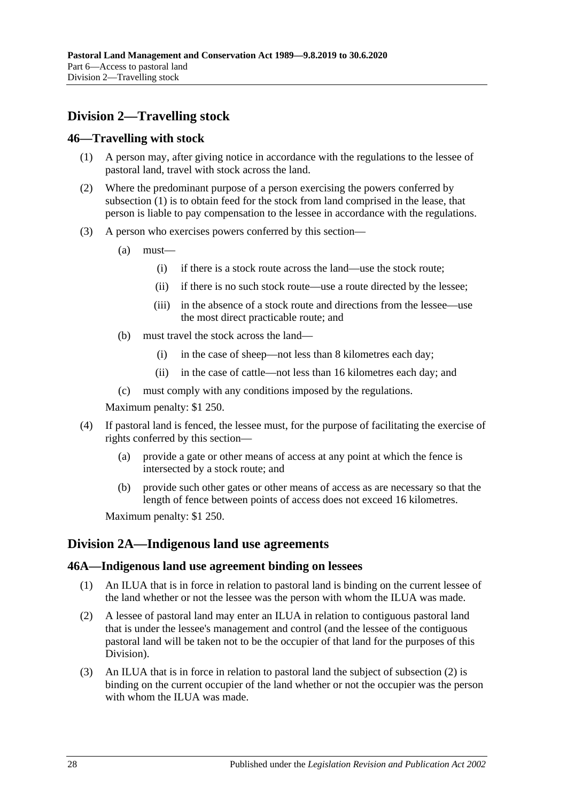# <span id="page-27-0"></span>**Division 2—Travelling stock**

#### <span id="page-27-4"></span><span id="page-27-1"></span>**46—Travelling with stock**

- (1) A person may, after giving notice in accordance with the regulations to the lessee of pastoral land, travel with stock across the land.
- (2) Where the predominant purpose of a person exercising the powers conferred by [subsection](#page-27-4) (1) is to obtain feed for the stock from land comprised in the lease, that person is liable to pay compensation to the lessee in accordance with the regulations.
- (3) A person who exercises powers conferred by this section—
	- (a) must—
		- (i) if there is a stock route across the land—use the stock route;
		- (ii) if there is no such stock route—use a route directed by the lessee;
		- (iii) in the absence of a stock route and directions from the lessee—use the most direct practicable route; and
	- (b) must travel the stock across the land—
		- (i) in the case of sheep—not less than 8 kilometres each day;
		- (ii) in the case of cattle—not less than 16 kilometres each day; and
	- (c) must comply with any conditions imposed by the regulations.

Maximum penalty: \$1 250.

- (4) If pastoral land is fenced, the lessee must, for the purpose of facilitating the exercise of rights conferred by this section—
	- (a) provide a gate or other means of access at any point at which the fence is intersected by a stock route; and
	- (b) provide such other gates or other means of access as are necessary so that the length of fence between points of access does not exceed 16 kilometres.

Maximum penalty: \$1 250.

## <span id="page-27-2"></span>**Division 2A—Indigenous land use agreements**

#### <span id="page-27-3"></span>**46A—Indigenous land use agreement binding on lessees**

- (1) An ILUA that is in force in relation to pastoral land is binding on the current lessee of the land whether or not the lessee was the person with whom the ILUA was made.
- <span id="page-27-5"></span>(2) A lessee of pastoral land may enter an ILUA in relation to contiguous pastoral land that is under the lessee's management and control (and the lessee of the contiguous pastoral land will be taken not to be the occupier of that land for the purposes of this Division).
- (3) An ILUA that is in force in relation to pastoral land the subject of [subsection](#page-27-5) (2) is binding on the current occupier of the land whether or not the occupier was the person with whom the ILUA was made.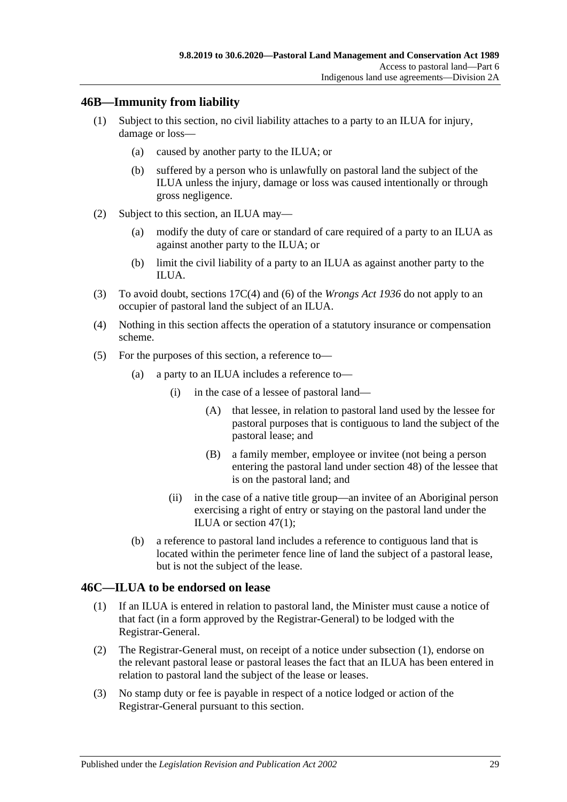## <span id="page-28-0"></span>**46B—Immunity from liability**

- (1) Subject to this section, no civil liability attaches to a party to an ILUA for injury, damage or loss—
	- (a) caused by another party to the ILUA; or
	- (b) suffered by a person who is unlawfully on pastoral land the subject of the ILUA unless the injury, damage or loss was caused intentionally or through gross negligence.
- (2) Subject to this section, an ILUA may—
	- (a) modify the duty of care or standard of care required of a party to an ILUA as against another party to the ILUA; or
	- (b) limit the civil liability of a party to an ILUA as against another party to the ILUA.
- (3) To avoid doubt, sections 17C(4) and (6) of the *[Wrongs Act](http://www.legislation.sa.gov.au/index.aspx?action=legref&type=act&legtitle=Wrongs%20Act%201936) 1936* do not apply to an occupier of pastoral land the subject of an ILUA.
- (4) Nothing in this section affects the operation of a statutory insurance or compensation scheme.
- (5) For the purposes of this section, a reference to—
	- (a) a party to an ILUA includes a reference to—
		- (i) in the case of a lessee of pastoral land—
			- (A) that lessee, in relation to pastoral land used by the lessee for pastoral purposes that is contiguous to land the subject of the pastoral lease; and
			- (B) a family member, employee or invitee (not being a person entering the pastoral land under [section](#page-29-2) 48) of the lessee that is on the pastoral land; and
		- (ii) in the case of a native title group—an invitee of an Aboriginal person exercising a right of entry or staying on the pastoral land under the ILUA or [section](#page-29-3) 47(1);
	- (b) a reference to pastoral land includes a reference to contiguous land that is located within the perimeter fence line of land the subject of a pastoral lease, but is not the subject of the lease.

## <span id="page-28-2"></span><span id="page-28-1"></span>**46C—ILUA to be endorsed on lease**

- (1) If an ILUA is entered in relation to pastoral land, the Minister must cause a notice of that fact (in a form approved by the Registrar-General) to be lodged with the Registrar-General.
- (2) The Registrar-General must, on receipt of a notice under [subsection](#page-28-2) (1), endorse on the relevant pastoral lease or pastoral leases the fact that an ILUA has been entered in relation to pastoral land the subject of the lease or leases.
- (3) No stamp duty or fee is payable in respect of a notice lodged or action of the Registrar-General pursuant to this section.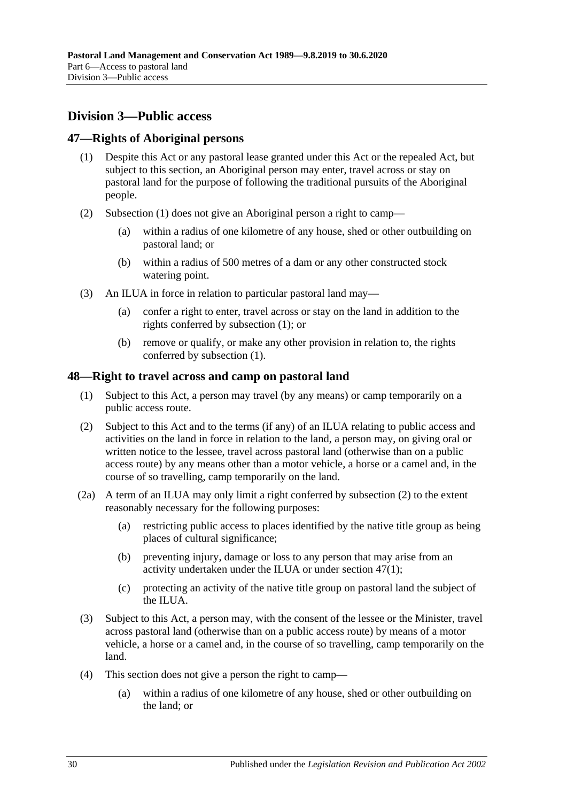# <span id="page-29-0"></span>**Division 3—Public access**

## <span id="page-29-3"></span><span id="page-29-1"></span>**47—Rights of Aboriginal persons**

- (1) Despite this Act or any pastoral lease granted under this Act or the repealed Act, but subject to this section, an Aboriginal person may enter, travel across or stay on pastoral land for the purpose of following the traditional pursuits of the Aboriginal people.
- (2) [Subsection](#page-29-3) (1) does not give an Aboriginal person a right to camp—
	- (a) within a radius of one kilometre of any house, shed or other outbuilding on pastoral land; or
	- (b) within a radius of 500 metres of a dam or any other constructed stock watering point.
- (3) An ILUA in force in relation to particular pastoral land may—
	- (a) confer a right to enter, travel across or stay on the land in addition to the rights conferred by [subsection](#page-29-3) (1); or
	- (b) remove or qualify, or make any other provision in relation to, the rights conferred by [subsection](#page-29-3) (1).

## <span id="page-29-2"></span>**48—Right to travel across and camp on pastoral land**

- (1) Subject to this Act, a person may travel (by any means) or camp temporarily on a public access route.
- <span id="page-29-4"></span>(2) Subject to this Act and to the terms (if any) of an ILUA relating to public access and activities on the land in force in relation to the land, a person may, on giving oral or written notice to the lessee, travel across pastoral land (otherwise than on a public access route) by any means other than a motor vehicle, a horse or a camel and, in the course of so travelling, camp temporarily on the land.
- <span id="page-29-6"></span>(2a) A term of an ILUA may only limit a right conferred by [subsection](#page-29-4) (2) to the extent reasonably necessary for the following purposes:
	- (a) restricting public access to places identified by the native title group as being places of cultural significance;
	- (b) preventing injury, damage or loss to any person that may arise from an activity undertaken under the ILUA or under [section](#page-29-3) 47(1);
	- (c) protecting an activity of the native title group on pastoral land the subject of the ILUA.
- <span id="page-29-5"></span>(3) Subject to this Act, a person may, with the consent of the lessee or the Minister, travel across pastoral land (otherwise than on a public access route) by means of a motor vehicle, a horse or a camel and, in the course of so travelling, camp temporarily on the land.
- (4) This section does not give a person the right to camp—
	- (a) within a radius of one kilometre of any house, shed or other outbuilding on the land; or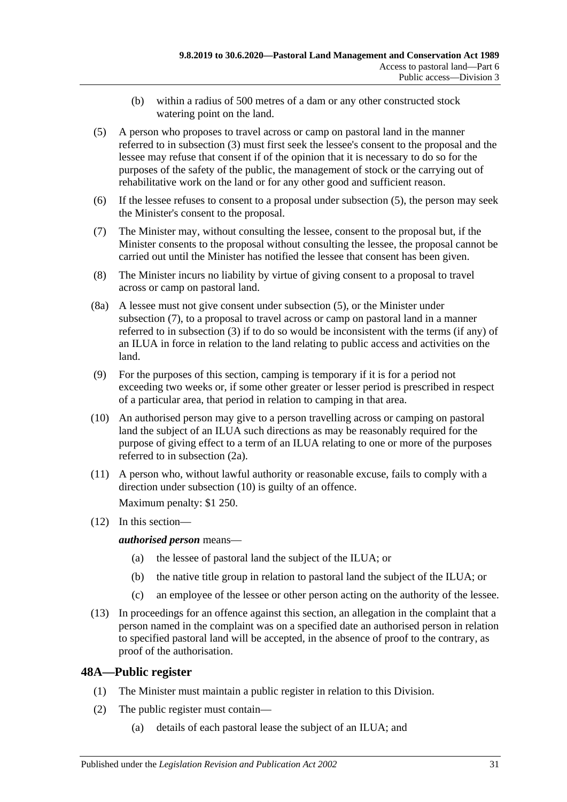- (b) within a radius of 500 metres of a dam or any other constructed stock watering point on the land.
- <span id="page-30-1"></span>(5) A person who proposes to travel across or camp on pastoral land in the manner referred to in [subsection](#page-29-5) (3) must first seek the lessee's consent to the proposal and the lessee may refuse that consent if of the opinion that it is necessary to do so for the purposes of the safety of the public, the management of stock or the carrying out of rehabilitative work on the land or for any other good and sufficient reason.
- (6) If the lessee refuses to consent to a proposal under [subsection](#page-30-1) (5), the person may seek the Minister's consent to the proposal.
- <span id="page-30-2"></span>(7) The Minister may, without consulting the lessee, consent to the proposal but, if the Minister consents to the proposal without consulting the lessee, the proposal cannot be carried out until the Minister has notified the lessee that consent has been given.
- (8) The Minister incurs no liability by virtue of giving consent to a proposal to travel across or camp on pastoral land.
- (8a) A lessee must not give consent under [subsection](#page-30-1) (5), or the Minister under [subsection](#page-30-2) (7), to a proposal to travel across or camp on pastoral land in a manner referred to in [subsection](#page-29-5) (3) if to do so would be inconsistent with the terms (if any) of an ILUA in force in relation to the land relating to public access and activities on the land.
- (9) For the purposes of this section, camping is temporary if it is for a period not exceeding two weeks or, if some other greater or lesser period is prescribed in respect of a particular area, that period in relation to camping in that area.
- <span id="page-30-3"></span>(10) An authorised person may give to a person travelling across or camping on pastoral land the subject of an ILUA such directions as may be reasonably required for the purpose of giving effect to a term of an ILUA relating to one or more of the purposes referred to in [subsection](#page-29-6) (2a).
- (11) A person who, without lawful authority or reasonable excuse, fails to comply with a direction under [subsection](#page-30-3) (10) is guilty of an offence.

Maximum penalty: \$1 250.

(12) In this section—

*authorised person* means—

- (a) the lessee of pastoral land the subject of the ILUA; or
- (b) the native title group in relation to pastoral land the subject of the ILUA; or
- (c) an employee of the lessee or other person acting on the authority of the lessee.
- (13) In proceedings for an offence against this section, an allegation in the complaint that a person named in the complaint was on a specified date an authorised person in relation to specified pastoral land will be accepted, in the absence of proof to the contrary, as proof of the authorisation.

# <span id="page-30-0"></span>**48A—Public register**

- (1) The Minister must maintain a public register in relation to this Division.
- (2) The public register must contain—
	- (a) details of each pastoral lease the subject of an ILUA; and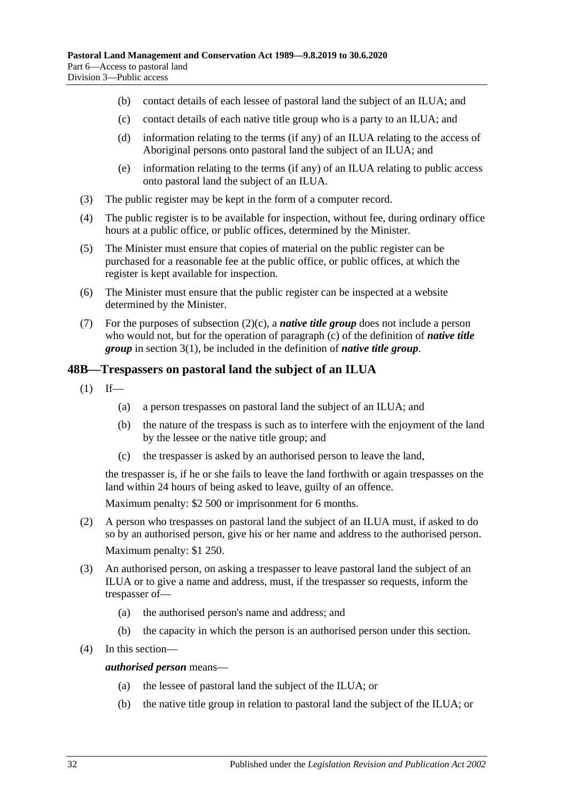- (b) contact details of each lessee of pastoral land the subject of an ILUA; and
- <span id="page-31-1"></span>(c) contact details of each native title group who is a party to an ILUA; and
- (d) information relating to the terms (if any) of an ILUA relating to the access of Aboriginal persons onto pastoral land the subject of an ILUA; and
- (e) information relating to the terms (if any) of an ILUA relating to public access onto pastoral land the subject of an ILUA.
- (3) The public register may be kept in the form of a computer record.
- (4) The public register is to be available for inspection, without fee, during ordinary office hours at a public office, or public offices, determined by the Minister.
- (5) The Minister must ensure that copies of material on the public register can be purchased for a reasonable fee at the public office, or public offices, at which the register is kept available for inspection.
- (6) The Minister must ensure that the public register can be inspected at a website determined by the Minister.
- (7) For the purposes of [subsection](#page-31-1)  $(2)(c)$ , a *native title group* does not include a person who would not, but for the operation of [paragraph](#page-3-1) (c) of the definition of *native title group* in [section](#page-3-2) 3(1), be included in the definition of *native title group*.

## <span id="page-31-0"></span>**48B—Trespassers on pastoral land the subject of an ILUA**

- $(1)$  If—
	- (a) a person trespasses on pastoral land the subject of an ILUA; and
	- (b) the nature of the trespass is such as to interfere with the enjoyment of the land by the lessee or the native title group; and
	- (c) the trespasser is asked by an authorised person to leave the land,

the trespasser is, if he or she fails to leave the land forthwith or again trespasses on the land within 24 hours of being asked to leave, guilty of an offence.

Maximum penalty: \$2 500 or imprisonment for 6 months.

- (2) A person who trespasses on pastoral land the subject of an ILUA must, if asked to do so by an authorised person, give his or her name and address to the authorised person. Maximum penalty: \$1 250.
- (3) An authorised person, on asking a trespasser to leave pastoral land the subject of an ILUA or to give a name and address, must, if the trespasser so requests, inform the trespasser of—
	- (a) the authorised person's name and address; and
	- (b) the capacity in which the person is an authorised person under this section.
- (4) In this section—

#### *authorised person* means—

- (a) the lessee of pastoral land the subject of the ILUA; or
- (b) the native title group in relation to pastoral land the subject of the ILUA; or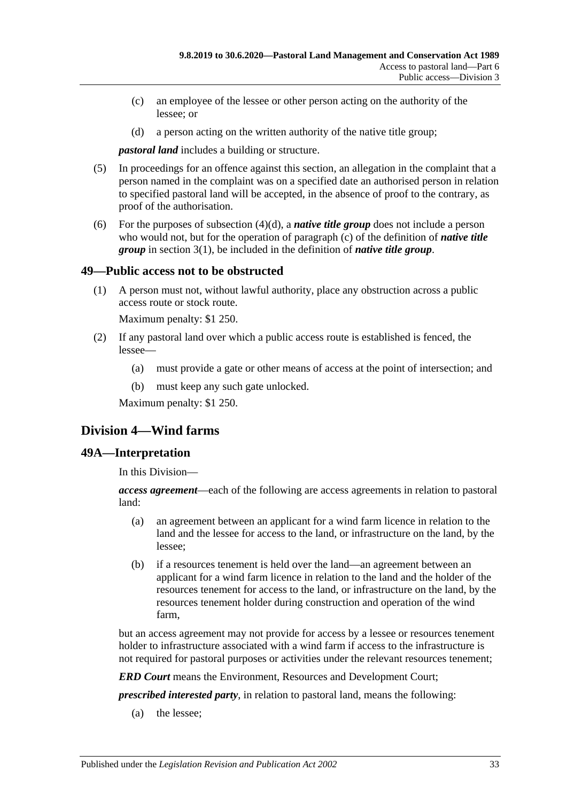- (c) an employee of the lessee or other person acting on the authority of the lessee; or
- (d) a person acting on the written authority of the native title group;

<span id="page-32-3"></span>*pastoral land* includes a building or structure.

- (5) In proceedings for an offence against this section, an allegation in the complaint that a person named in the complaint was on a specified date an authorised person in relation to specified pastoral land will be accepted, in the absence of proof to the contrary, as proof of the authorisation.
- (6) For the purposes of [subsection](#page-32-3)  $(4)(d)$ , a *native title group* does not include a person who would not, but for the operation of [paragraph](#page-3-1) (c) of the definition of *native title group* in [section](#page-3-2) 3(1), be included in the definition of *native title group*.

## <span id="page-32-0"></span>**49—Public access not to be obstructed**

(1) A person must not, without lawful authority, place any obstruction across a public access route or stock route.

Maximum penalty: \$1 250.

- (2) If any pastoral land over which a public access route is established is fenced, the lessee—
	- (a) must provide a gate or other means of access at the point of intersection; and
	- (b) must keep any such gate unlocked.

Maximum penalty: \$1 250.

# <span id="page-32-1"></span>**Division 4—Wind farms**

## <span id="page-32-2"></span>**49A—Interpretation**

In this Division—

*access agreement*—each of the following are access agreements in relation to pastoral land:

- (a) an agreement between an applicant for a wind farm licence in relation to the land and the lessee for access to the land, or infrastructure on the land, by the lessee;
- (b) if a resources tenement is held over the land—an agreement between an applicant for a wind farm licence in relation to the land and the holder of the resources tenement for access to the land, or infrastructure on the land, by the resources tenement holder during construction and operation of the wind farm,

but an access agreement may not provide for access by a lessee or resources tenement holder to infrastructure associated with a wind farm if access to the infrastructure is not required for pastoral purposes or activities under the relevant resources tenement;

*ERD Court* means the Environment, Resources and Development Court;

*prescribed interested party*, in relation to pastoral land, means the following:

(a) the lessee;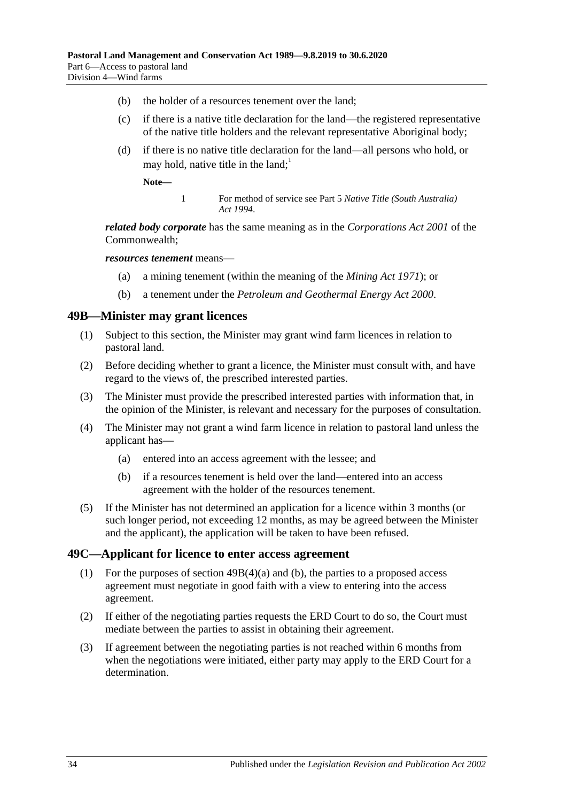- (b) the holder of a resources tenement over the land;
- (c) if there is a native title declaration for the land—the registered representative of the native title holders and the relevant representative Aboriginal body;
- <span id="page-33-4"></span>(d) if there is no native title declaration for the land—all persons who hold, or may hold, native title in the land;<sup>1</sup>

**Note—**

1 For method of service see Part 5 *[Native Title \(South Australia\)](http://www.legislation.sa.gov.au/index.aspx?action=legref&type=act&legtitle=Native%20Title%20(South%20Australia)%20Act%201994)  Act [1994](http://www.legislation.sa.gov.au/index.aspx?action=legref&type=act&legtitle=Native%20Title%20(South%20Australia)%20Act%201994)*.

*related body corporate* has the same meaning as in the *Corporations Act 2001* of the Commonwealth;

*resources tenement* means—

- (a) a mining tenement (within the meaning of the *[Mining Act](http://www.legislation.sa.gov.au/index.aspx?action=legref&type=act&legtitle=Mining%20Act%201971) 1971*); or
- (b) a tenement under the *[Petroleum and Geothermal Energy Act](http://www.legislation.sa.gov.au/index.aspx?action=legref&type=act&legtitle=Petroleum%20and%20Geothermal%20Energy%20Act%202000) 2000*.

#### <span id="page-33-0"></span>**49B—Minister may grant licences**

- (1) Subject to this section, the Minister may grant wind farm licences in relation to pastoral land.
- (2) Before deciding whether to grant a licence, the Minister must consult with, and have regard to the views of, the prescribed interested parties.
- (3) The Minister must provide the prescribed interested parties with information that, in the opinion of the Minister, is relevant and necessary for the purposes of consultation.
- <span id="page-33-2"></span>(4) The Minister may not grant a wind farm licence in relation to pastoral land unless the applicant has—
	- (a) entered into an access agreement with the lessee; and
	- (b) if a resources tenement is held over the land—entered into an access agreement with the holder of the resources tenement.
- <span id="page-33-3"></span>(5) If the Minister has not determined an application for a licence within 3 months (or such longer period, not exceeding 12 months, as may be agreed between the Minister and the applicant), the application will be taken to have been refused.

#### <span id="page-33-1"></span>**49C—Applicant for licence to enter access agreement**

- (1) For the purposes of section [49B\(4\)\(a\)](#page-33-2) and [\(b\),](#page-33-3) the parties to a proposed access agreement must negotiate in good faith with a view to entering into the access agreement.
- (2) If either of the negotiating parties requests the ERD Court to do so, the Court must mediate between the parties to assist in obtaining their agreement.
- (3) If agreement between the negotiating parties is not reached within 6 months from when the negotiations were initiated, either party may apply to the ERD Court for a determination.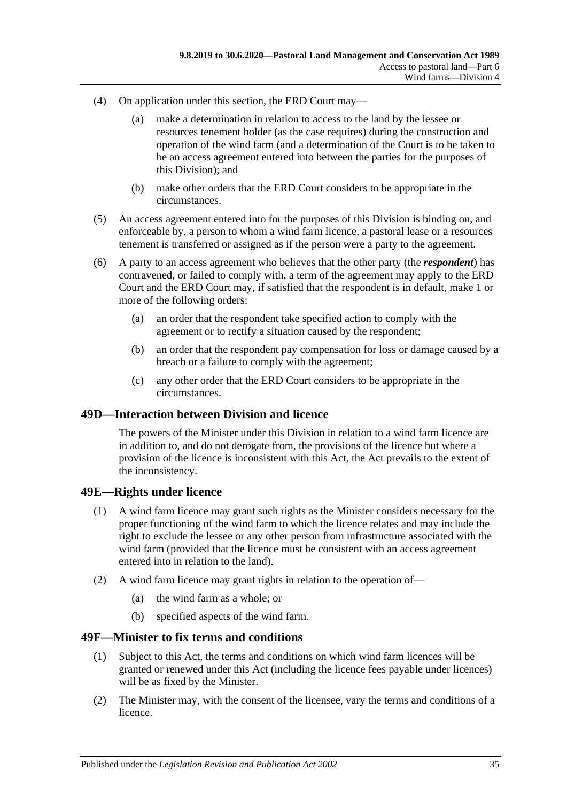- (4) On application under this section, the ERD Court may—
	- (a) make a determination in relation to access to the land by the lessee or resources tenement holder (as the case requires) during the construction and operation of the wind farm (and a determination of the Court is to be taken to be an access agreement entered into between the parties for the purposes of this Division); and
	- (b) make other orders that the ERD Court considers to be appropriate in the circumstances.
- (5) An access agreement entered into for the purposes of this Division is binding on, and enforceable by, a person to whom a wind farm licence, a pastoral lease or a resources tenement is transferred or assigned as if the person were a party to the agreement.
- (6) A party to an access agreement who believes that the other party (the *respondent*) has contravened, or failed to comply with, a term of the agreement may apply to the ERD Court and the ERD Court may, if satisfied that the respondent is in default, make 1 or more of the following orders:
	- (a) an order that the respondent take specified action to comply with the agreement or to rectify a situation caused by the respondent;
	- (b) an order that the respondent pay compensation for loss or damage caused by a breach or a failure to comply with the agreement;
	- (c) any other order that the ERD Court considers to be appropriate in the circumstances.

#### <span id="page-34-0"></span>**49D—Interaction between Division and licence**

The powers of the Minister under this Division in relation to a wind farm licence are in addition to, and do not derogate from, the provisions of the licence but where a provision of the licence is inconsistent with this Act, the Act prevails to the extent of the inconsistency.

## <span id="page-34-1"></span>**49E—Rights under licence**

- (1) A wind farm licence may grant such rights as the Minister considers necessary for the proper functioning of the wind farm to which the licence relates and may include the right to exclude the lessee or any other person from infrastructure associated with the wind farm (provided that the licence must be consistent with an access agreement entered into in relation to the land).
- (2) A wind farm licence may grant rights in relation to the operation of—
	- (a) the wind farm as a whole; or
	- (b) specified aspects of the wind farm.

#### <span id="page-34-2"></span>**49F—Minister to fix terms and conditions**

- (1) Subject to this Act, the terms and conditions on which wind farm licences will be granted or renewed under this Act (including the licence fees payable under licences) will be as fixed by the Minister.
- (2) The Minister may, with the consent of the licensee, vary the terms and conditions of a licence.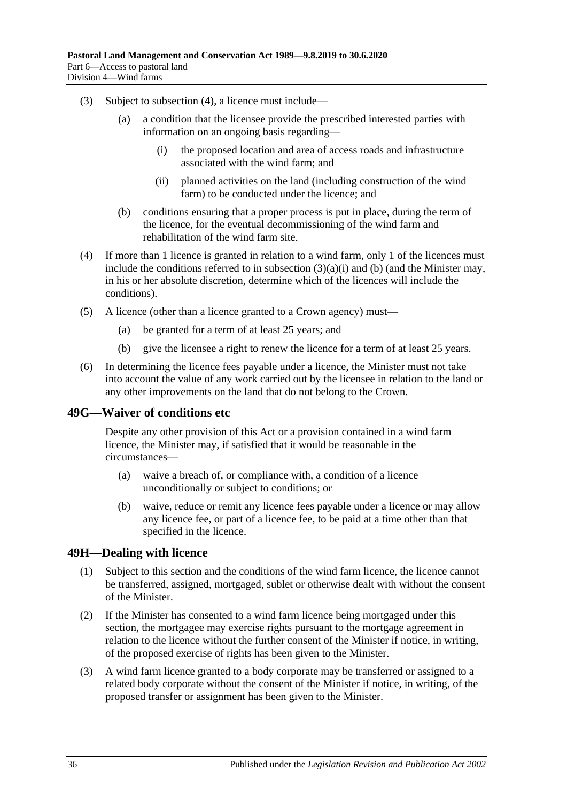- <span id="page-35-3"></span>(3) Subject to [subsection](#page-35-2) (4), a licence must include—
	- (a) a condition that the licensee provide the prescribed interested parties with information on an ongoing basis regarding—
		- (i) the proposed location and area of access roads and infrastructure associated with the wind farm; and
		- (ii) planned activities on the land (including construction of the wind farm) to be conducted under the licence; and
	- (b) conditions ensuring that a proper process is put in place, during the term of the licence, for the eventual decommissioning of the wind farm and rehabilitation of the wind farm site.
- <span id="page-35-4"></span><span id="page-35-2"></span>(4) If more than 1 licence is granted in relation to a wind farm, only 1 of the licences must include the conditions referred to in [subsection](#page-35-3)  $(3)(a)(i)$  and [\(b\)](#page-35-4) (and the Minister may, in his or her absolute discretion, determine which of the licences will include the conditions).
- (5) A licence (other than a licence granted to a Crown agency) must—
	- (a) be granted for a term of at least 25 years; and
	- (b) give the licensee a right to renew the licence for a term of at least 25 years.
- (6) In determining the licence fees payable under a licence, the Minister must not take into account the value of any work carried out by the licensee in relation to the land or any other improvements on the land that do not belong to the Crown.

## <span id="page-35-0"></span>**49G—Waiver of conditions etc**

Despite any other provision of this Act or a provision contained in a wind farm licence, the Minister may, if satisfied that it would be reasonable in the circumstances—

- (a) waive a breach of, or compliance with, a condition of a licence unconditionally or subject to conditions; or
- (b) waive, reduce or remit any licence fees payable under a licence or may allow any licence fee, or part of a licence fee, to be paid at a time other than that specified in the licence.

## <span id="page-35-1"></span>**49H—Dealing with licence**

- (1) Subject to this section and the conditions of the wind farm licence, the licence cannot be transferred, assigned, mortgaged, sublet or otherwise dealt with without the consent of the Minister.
- (2) If the Minister has consented to a wind farm licence being mortgaged under this section, the mortgagee may exercise rights pursuant to the mortgage agreement in relation to the licence without the further consent of the Minister if notice, in writing, of the proposed exercise of rights has been given to the Minister.
- (3) A wind farm licence granted to a body corporate may be transferred or assigned to a related body corporate without the consent of the Minister if notice, in writing, of the proposed transfer or assignment has been given to the Minister.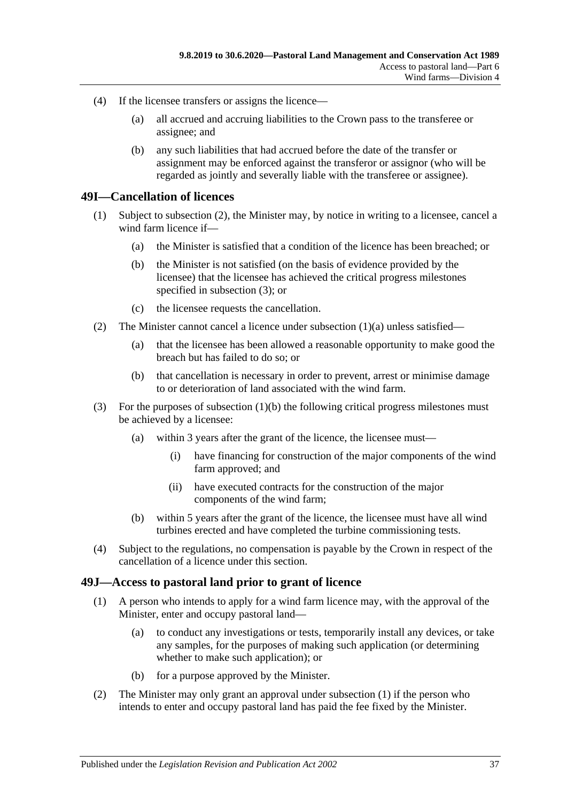- (4) If the licensee transfers or assigns the licence—
	- (a) all accrued and accruing liabilities to the Crown pass to the transferee or assignee; and
	- (b) any such liabilities that had accrued before the date of the transfer or assignment may be enforced against the transferor or assignor (who will be regarded as jointly and severally liable with the transferee or assignee).

#### <span id="page-36-0"></span>**49I—Cancellation of licences**

- <span id="page-36-5"></span><span id="page-36-4"></span>(1) Subject to [subsection](#page-36-2) (2), the Minister may, by notice in writing to a licensee, cancel a wind farm licence if—
	- (a) the Minister is satisfied that a condition of the licence has been breached; or
	- (b) the Minister is not satisfied (on the basis of evidence provided by the licensee) that the licensee has achieved the critical progress milestones specified in [subsection](#page-36-3) (3); or
	- (c) the licensee requests the cancellation.
- <span id="page-36-2"></span>(2) The Minister cannot cancel a licence under [subsection](#page-36-4)  $(1)(a)$  unless satisfied—
	- (a) that the licensee has been allowed a reasonable opportunity to make good the breach but has failed to do so; or
	- (b) that cancellation is necessary in order to prevent, arrest or minimise damage to or deterioration of land associated with the wind farm.
- <span id="page-36-3"></span>(3) For the purposes of [subsection](#page-36-5) (1)(b) the following critical progress milestones must be achieved by a licensee:
	- (a) within 3 years after the grant of the licence, the licensee must—
		- (i) have financing for construction of the major components of the wind farm approved; and
		- (ii) have executed contracts for the construction of the major components of the wind farm;
	- (b) within 5 years after the grant of the licence, the licensee must have all wind turbines erected and have completed the turbine commissioning tests.
- (4) Subject to the regulations, no compensation is payable by the Crown in respect of the cancellation of a licence under this section.

#### <span id="page-36-6"></span><span id="page-36-1"></span>**49J—Access to pastoral land prior to grant of licence**

- (1) A person who intends to apply for a wind farm licence may, with the approval of the Minister, enter and occupy pastoral land—
	- (a) to conduct any investigations or tests, temporarily install any devices, or take any samples, for the purposes of making such application (or determining whether to make such application); or
	- (b) for a purpose approved by the Minister.
- (2) The Minister may only grant an approval under [subsection](#page-36-6) (1) if the person who intends to enter and occupy pastoral land has paid the fee fixed by the Minister.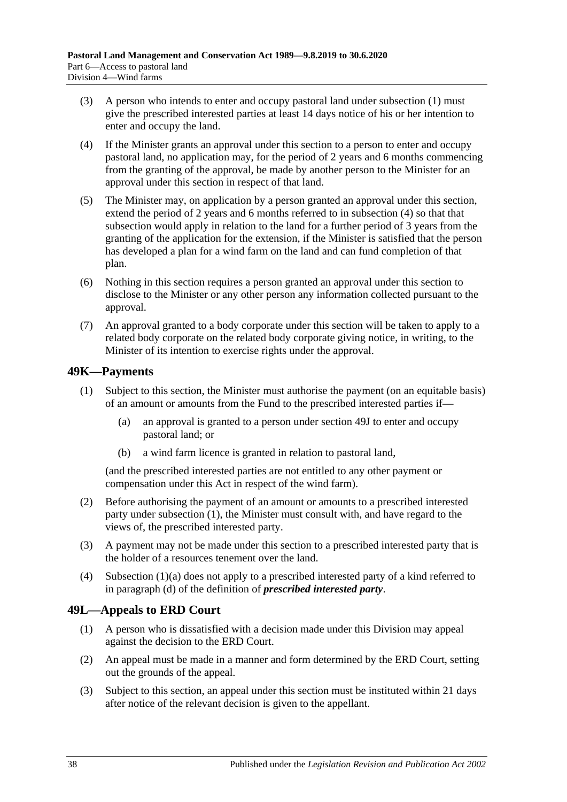- (3) A person who intends to enter and occupy pastoral land under [subsection](#page-36-6) (1) must give the prescribed interested parties at least 14 days notice of his or her intention to enter and occupy the land.
- <span id="page-37-2"></span>(4) If the Minister grants an approval under this section to a person to enter and occupy pastoral land, no application may, for the period of 2 years and 6 months commencing from the granting of the approval, be made by another person to the Minister for an approval under this section in respect of that land.
- (5) The Minister may, on application by a person granted an approval under this section, extend the period of 2 years and 6 months referred to in [subsection](#page-37-2) (4) so that that subsection would apply in relation to the land for a further period of 3 years from the granting of the application for the extension, if the Minister is satisfied that the person has developed a plan for a wind farm on the land and can fund completion of that plan.
- (6) Nothing in this section requires a person granted an approval under this section to disclose to the Minister or any other person any information collected pursuant to the approval.
- (7) An approval granted to a body corporate under this section will be taken to apply to a related body corporate on the related body corporate giving notice, in writing, to the Minister of its intention to exercise rights under the approval.

## <span id="page-37-3"></span><span id="page-37-0"></span>**49K—Payments**

- <span id="page-37-4"></span>(1) Subject to this section, the Minister must authorise the payment (on an equitable basis) of an amount or amounts from the Fund to the prescribed interested parties if—
	- (a) an approval is granted to a person under [section](#page-36-1) 49J to enter and occupy pastoral land; or
	- (b) a wind farm licence is granted in relation to pastoral land,

(and the prescribed interested parties are not entitled to any other payment or compensation under this Act in respect of the wind farm).

- (2) Before authorising the payment of an amount or amounts to a prescribed interested party under [subsection](#page-37-3) (1), the Minister must consult with, and have regard to the views of, the prescribed interested party.
- (3) A payment may not be made under this section to a prescribed interested party that is the holder of a resources tenement over the land.
- (4) [Subsection](#page-37-4) (1)(a) does not apply to a prescribed interested party of a kind referred to in [paragraph](#page-33-4) (d) of the definition of *prescribed interested party*.

## <span id="page-37-1"></span>**49L—Appeals to ERD Court**

- (1) A person who is dissatisfied with a decision made under this Division may appeal against the decision to the ERD Court.
- (2) An appeal must be made in a manner and form determined by the ERD Court, setting out the grounds of the appeal.
- <span id="page-37-5"></span>(3) Subject to this section, an appeal under this section must be instituted within 21 days after notice of the relevant decision is given to the appellant.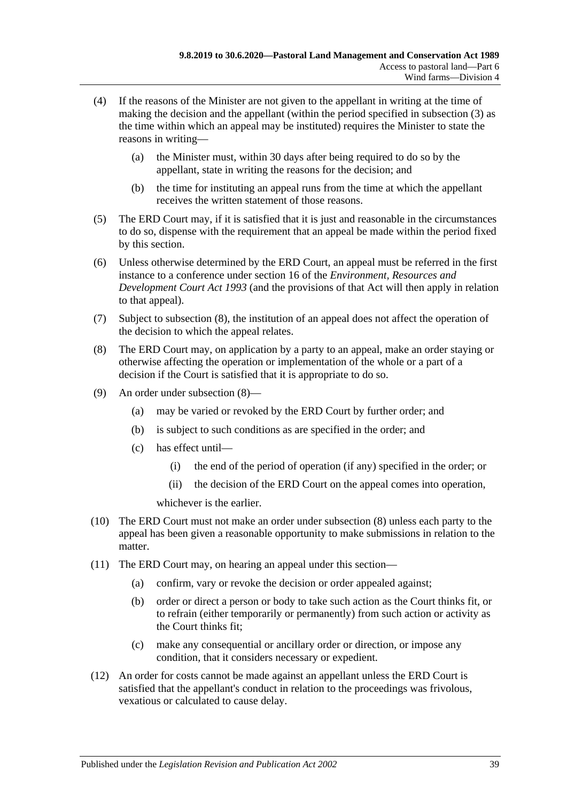- (4) If the reasons of the Minister are not given to the appellant in writing at the time of making the decision and the appellant (within the period specified in [subsection](#page-37-5) (3) as the time within which an appeal may be instituted) requires the Minister to state the reasons in writing—
	- (a) the Minister must, within 30 days after being required to do so by the appellant, state in writing the reasons for the decision; and
	- (b) the time for instituting an appeal runs from the time at which the appellant receives the written statement of those reasons.
- (5) The ERD Court may, if it is satisfied that it is just and reasonable in the circumstances to do so, dispense with the requirement that an appeal be made within the period fixed by this section.
- (6) Unless otherwise determined by the ERD Court, an appeal must be referred in the first instance to a conference under section 16 of the *[Environment, Resources and](http://www.legislation.sa.gov.au/index.aspx?action=legref&type=act&legtitle=Environment%20Resources%20and%20Development%20Court%20Act%201993)  [Development Court Act](http://www.legislation.sa.gov.au/index.aspx?action=legref&type=act&legtitle=Environment%20Resources%20and%20Development%20Court%20Act%201993) 1993* (and the provisions of that Act will then apply in relation to that appeal).
- (7) Subject to [subsection](#page-38-0) (8), the institution of an appeal does not affect the operation of the decision to which the appeal relates.
- <span id="page-38-0"></span>(8) The ERD Court may, on application by a party to an appeal, make an order staying or otherwise affecting the operation or implementation of the whole or a part of a decision if the Court is satisfied that it is appropriate to do so.
- (9) An order under [subsection](#page-38-0) (8)—
	- (a) may be varied or revoked by the ERD Court by further order; and
	- (b) is subject to such conditions as are specified in the order; and
	- (c) has effect until—
		- (i) the end of the period of operation (if any) specified in the order; or
		- (ii) the decision of the ERD Court on the appeal comes into operation,

whichever is the earlier.

- (10) The ERD Court must not make an order under [subsection](#page-38-0) (8) unless each party to the appeal has been given a reasonable opportunity to make submissions in relation to the matter.
- (11) The ERD Court may, on hearing an appeal under this section—
	- (a) confirm, vary or revoke the decision or order appealed against;
	- (b) order or direct a person or body to take such action as the Court thinks fit, or to refrain (either temporarily or permanently) from such action or activity as the Court thinks fit;
	- (c) make any consequential or ancillary order or direction, or impose any condition, that it considers necessary or expedient.
- (12) An order for costs cannot be made against an appellant unless the ERD Court is satisfied that the appellant's conduct in relation to the proceedings was frivolous, vexatious or calculated to cause delay.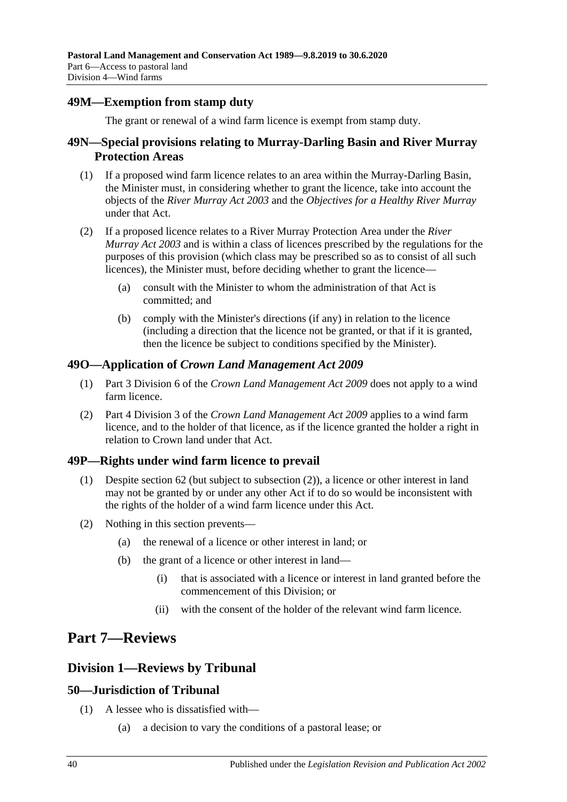## <span id="page-39-0"></span>**49M—Exemption from stamp duty**

The grant or renewal of a wind farm licence is exempt from stamp duty.

## <span id="page-39-1"></span>**49N—Special provisions relating to Murray-Darling Basin and River Murray Protection Areas**

- (1) If a proposed wind farm licence relates to an area within the Murray-Darling Basin, the Minister must, in considering whether to grant the licence, take into account the objects of the *[River Murray Act](http://www.legislation.sa.gov.au/index.aspx?action=legref&type=act&legtitle=River%20Murray%20Act%202003) 2003* and the *Objectives for a Healthy River Murray* under that Act.
- (2) If a proposed licence relates to a River Murray Protection Area under the *[River](http://www.legislation.sa.gov.au/index.aspx?action=legref&type=act&legtitle=River%20Murray%20Act%202003)  [Murray Act](http://www.legislation.sa.gov.au/index.aspx?action=legref&type=act&legtitle=River%20Murray%20Act%202003) 2003* and is within a class of licences prescribed by the regulations for the purposes of this provision (which class may be prescribed so as to consist of all such licences), the Minister must, before deciding whether to grant the licence—
	- (a) consult with the Minister to whom the administration of that Act is committed; and
	- (b) comply with the Minister's directions (if any) in relation to the licence (including a direction that the licence not be granted, or that if it is granted, then the licence be subject to conditions specified by the Minister).

## <span id="page-39-2"></span>**49O—Application of** *Crown Land Management Act 2009*

- (1) Part 3 Division 6 of the *[Crown Land Management Act](http://www.legislation.sa.gov.au/index.aspx?action=legref&type=act&legtitle=Crown%20Land%20Management%20Act%202009) 2009* does not apply to a wind farm licence.
- (2) Part 4 Division 3 of the *[Crown Land Management Act](http://www.legislation.sa.gov.au/index.aspx?action=legref&type=act&legtitle=Crown%20Land%20Management%20Act%202009) 2009* applies to a wind farm licence, and to the holder of that licence, as if the licence granted the holder a right in relation to Crown land under that Act.

# <span id="page-39-3"></span>**49P—Rights under wind farm licence to prevail**

- (1) Despite [section](#page-43-1) 62 (but subject to [subsection](#page-39-7) (2)), a licence or other interest in land may not be granted by or under any other Act if to do so would be inconsistent with the rights of the holder of a wind farm licence under this Act.
- <span id="page-39-7"></span>(2) Nothing in this section prevents—
	- (a) the renewal of a licence or other interest in land; or
	- (b) the grant of a licence or other interest in land—
		- (i) that is associated with a licence or interest in land granted before the commencement of this Division; or
		- (ii) with the consent of the holder of the relevant wind farm licence.

# <span id="page-39-4"></span>**Part 7—Reviews**

# <span id="page-39-5"></span>**Division 1—Reviews by Tribunal**

# <span id="page-39-6"></span>**50—Jurisdiction of Tribunal**

- (1) A lessee who is dissatisfied with—
	- (a) a decision to vary the conditions of a pastoral lease; or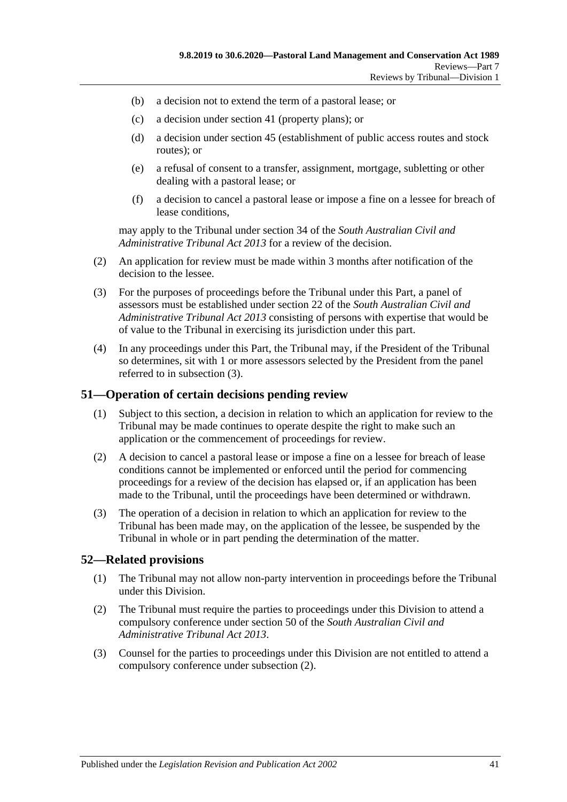- (b) a decision not to extend the term of a pastoral lease; or
- (c) a decision under section 41 (property plans); or
- (d) a decision under section 45 (establishment of public access routes and stock routes); or
- (e) a refusal of consent to a transfer, assignment, mortgage, subletting or other dealing with a pastoral lease; or
- (f) a decision to cancel a pastoral lease or impose a fine on a lessee for breach of lease conditions,

may apply to the Tribunal under section 34 of the *[South Australian Civil and](http://www.legislation.sa.gov.au/index.aspx?action=legref&type=act&legtitle=South%20Australian%20Civil%20and%20Administrative%20Tribunal%20Act%202013)  [Administrative Tribunal Act](http://www.legislation.sa.gov.au/index.aspx?action=legref&type=act&legtitle=South%20Australian%20Civil%20and%20Administrative%20Tribunal%20Act%202013) 2013* for a review of the decision.

- (2) An application for review must be made within 3 months after notification of the decision to the lessee.
- <span id="page-40-2"></span>(3) For the purposes of proceedings before the Tribunal under this Part, a panel of assessors must be established under section 22 of the *[South Australian Civil and](http://www.legislation.sa.gov.au/index.aspx?action=legref&type=act&legtitle=South%20Australian%20Civil%20and%20Administrative%20Tribunal%20Act%202013)  [Administrative Tribunal Act](http://www.legislation.sa.gov.au/index.aspx?action=legref&type=act&legtitle=South%20Australian%20Civil%20and%20Administrative%20Tribunal%20Act%202013) 2013* consisting of persons with expertise that would be of value to the Tribunal in exercising its jurisdiction under this part.
- (4) In any proceedings under this Part, the Tribunal may, if the President of the Tribunal so determines, sit with 1 or more assessors selected by the President from the panel referred to in [subsection](#page-40-2) (3).

#### <span id="page-40-0"></span>**51—Operation of certain decisions pending review**

- (1) Subject to this section, a decision in relation to which an application for review to the Tribunal may be made continues to operate despite the right to make such an application or the commencement of proceedings for review.
- (2) A decision to cancel a pastoral lease or impose a fine on a lessee for breach of lease conditions cannot be implemented or enforced until the period for commencing proceedings for a review of the decision has elapsed or, if an application has been made to the Tribunal, until the proceedings have been determined or withdrawn.
- (3) The operation of a decision in relation to which an application for review to the Tribunal has been made may, on the application of the lessee, be suspended by the Tribunal in whole or in part pending the determination of the matter.

## <span id="page-40-1"></span>**52—Related provisions**

- (1) The Tribunal may not allow non-party intervention in proceedings before the Tribunal under this Division.
- <span id="page-40-3"></span>(2) The Tribunal must require the parties to proceedings under this Division to attend a compulsory conference under section 50 of the *[South Australian Civil and](http://www.legislation.sa.gov.au/index.aspx?action=legref&type=act&legtitle=South%20Australian%20Civil%20and%20Administrative%20Tribunal%20Act%202013)  [Administrative Tribunal Act](http://www.legislation.sa.gov.au/index.aspx?action=legref&type=act&legtitle=South%20Australian%20Civil%20and%20Administrative%20Tribunal%20Act%202013) 2013*.
- (3) Counsel for the parties to proceedings under this Division are not entitled to attend a compulsory conference under [subsection](#page-40-3) (2).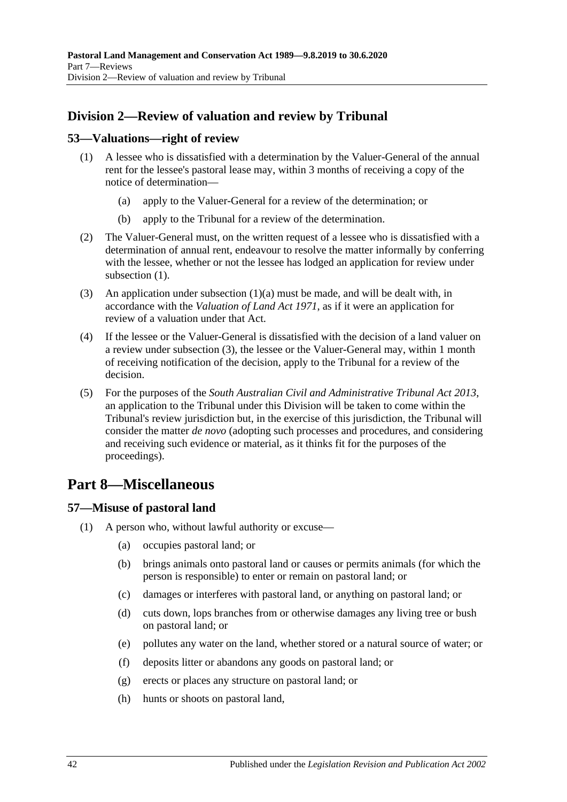# <span id="page-41-0"></span>**Division 2—Review of valuation and review by Tribunal**

## <span id="page-41-4"></span><span id="page-41-1"></span>**53—Valuations—right of review**

- <span id="page-41-5"></span>(1) A lessee who is dissatisfied with a determination by the Valuer-General of the annual rent for the lessee's pastoral lease may, within 3 months of receiving a copy of the notice of determination—
	- (a) apply to the Valuer-General for a review of the determination; or
	- (b) apply to the Tribunal for a review of the determination.
- (2) The Valuer-General must, on the written request of a lessee who is dissatisfied with a determination of annual rent, endeavour to resolve the matter informally by conferring with the lessee, whether or not the lessee has lodged an application for review under [subsection](#page-41-4)  $(1)$ .
- <span id="page-41-6"></span>(3) An application under [subsection](#page-41-5)  $(1)(a)$  must be made, and will be dealt with, in accordance with the *[Valuation of Land Act](http://www.legislation.sa.gov.au/index.aspx?action=legref&type=act&legtitle=Valuation%20of%20Land%20Act%201971) 1971*, as if it were an application for review of a valuation under that Act.
- (4) If the lessee or the Valuer-General is dissatisfied with the decision of a land valuer on a review under [subsection](#page-41-6) (3), the lessee or the Valuer-General may, within 1 month of receiving notification of the decision, apply to the Tribunal for a review of the decision.
- (5) For the purposes of the *[South Australian Civil and Administrative Tribunal Act](http://www.legislation.sa.gov.au/index.aspx?action=legref&type=act&legtitle=South%20Australian%20Civil%20and%20Administrative%20Tribunal%20Act%202013) 2013*, an application to the Tribunal under this Division will be taken to come within the Tribunal's review jurisdiction but, in the exercise of this jurisdiction, the Tribunal will consider the matter *de novo* (adopting such processes and procedures, and considering and receiving such evidence or material, as it thinks fit for the purposes of the proceedings).

# <span id="page-41-2"></span>**Part 8—Miscellaneous**

# <span id="page-41-7"></span><span id="page-41-3"></span>**57—Misuse of pastoral land**

- (1) A person who, without lawful authority or excuse—
	- (a) occupies pastoral land; or
	- (b) brings animals onto pastoral land or causes or permits animals (for which the person is responsible) to enter or remain on pastoral land; or
	- (c) damages or interferes with pastoral land, or anything on pastoral land; or
	- (d) cuts down, lops branches from or otherwise damages any living tree or bush on pastoral land; or
	- (e) pollutes any water on the land, whether stored or a natural source of water; or
	- (f) deposits litter or abandons any goods on pastoral land; or
	- (g) erects or places any structure on pastoral land; or
	- (h) hunts or shoots on pastoral land,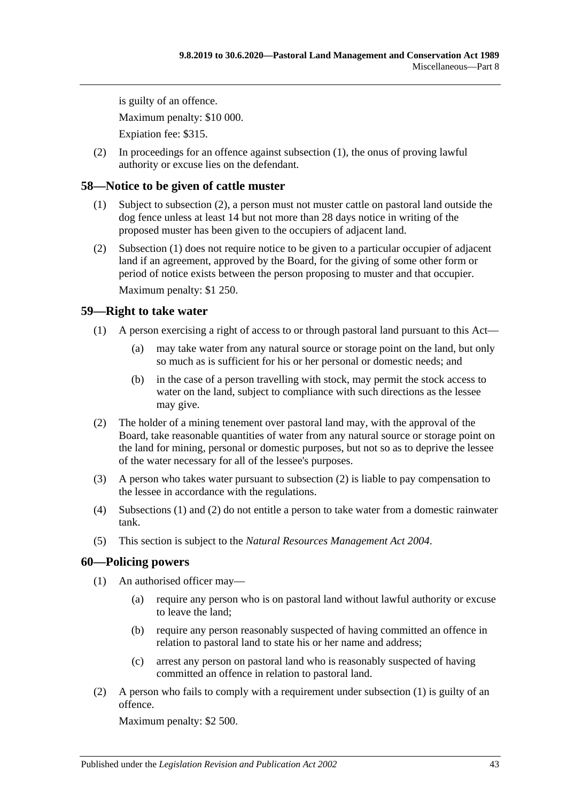is guilty of an offence. Maximum penalty: \$10 000. Expiation fee: \$315.

(2) In proceedings for an offence against [subsection](#page-41-7) (1), the onus of proving lawful authority or excuse lies on the defendant.

# <span id="page-42-4"></span><span id="page-42-0"></span>**58—Notice to be given of cattle muster**

- (1) Subject to [subsection](#page-42-3) (2), a person must not muster cattle on pastoral land outside the dog fence unless at least 14 but not more than 28 days notice in writing of the proposed muster has been given to the occupiers of adjacent land.
- <span id="page-42-3"></span>(2) [Subsection](#page-42-4) (1) does not require notice to be given to a particular occupier of adjacent land if an agreement, approved by the Board, for the giving of some other form or period of notice exists between the person proposing to muster and that occupier.

Maximum penalty: \$1 250.

# <span id="page-42-6"></span><span id="page-42-1"></span>**59—Right to take water**

- (1) A person exercising a right of access to or through pastoral land pursuant to this Act—
	- (a) may take water from any natural source or storage point on the land, but only so much as is sufficient for his or her personal or domestic needs; and
	- (b) in the case of a person travelling with stock, may permit the stock access to water on the land, subject to compliance with such directions as the lessee may give.
- <span id="page-42-5"></span>(2) The holder of a mining tenement over pastoral land may, with the approval of the Board, take reasonable quantities of water from any natural source or storage point on the land for mining, personal or domestic purposes, but not so as to deprive the lessee of the water necessary for all of the lessee's purposes.
- (3) A person who takes water pursuant to [subsection](#page-42-5) (2) is liable to pay compensation to the lessee in accordance with the regulations.
- (4) [Subsections](#page-42-6) (1) and [\(2\)](#page-42-5) do not entitle a person to take water from a domestic rainwater tank.
- (5) This section is subject to the *[Natural Resources Management Act](http://www.legislation.sa.gov.au/index.aspx?action=legref&type=act&legtitle=Natural%20Resources%20Management%20Act%202004) 2004*.

# <span id="page-42-7"></span><span id="page-42-2"></span>**60—Policing powers**

- (1) An authorised officer may—
	- (a) require any person who is on pastoral land without lawful authority or excuse to leave the land;
	- (b) require any person reasonably suspected of having committed an offence in relation to pastoral land to state his or her name and address;
	- (c) arrest any person on pastoral land who is reasonably suspected of having committed an offence in relation to pastoral land.
- (2) A person who fails to comply with a requirement under [subsection](#page-42-7) (1) is guilty of an offence.

Maximum penalty: \$2 500.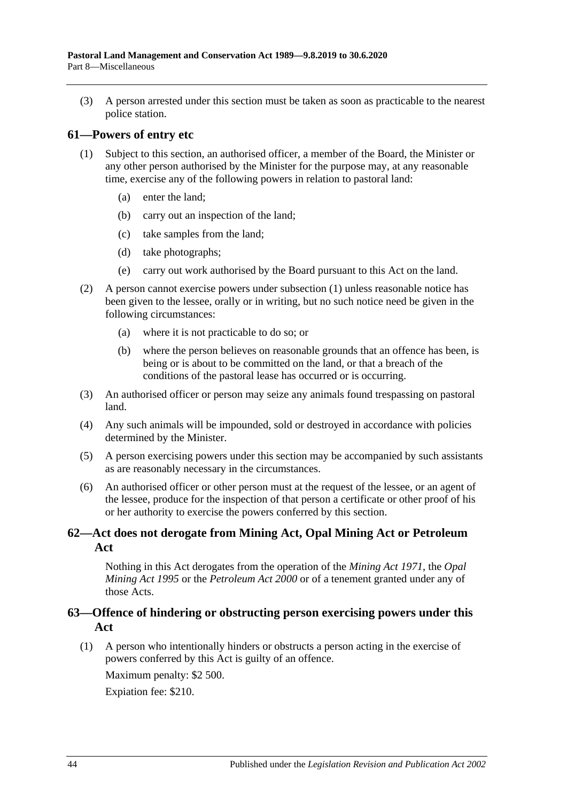(3) A person arrested under this section must be taken as soon as practicable to the nearest police station.

#### <span id="page-43-3"></span><span id="page-43-0"></span>**61—Powers of entry etc**

- (1) Subject to this section, an authorised officer, a member of the Board, the Minister or any other person authorised by the Minister for the purpose may, at any reasonable time, exercise any of the following powers in relation to pastoral land:
	- (a) enter the land;
	- (b) carry out an inspection of the land;
	- (c) take samples from the land;
	- (d) take photographs;
	- (e) carry out work authorised by the Board pursuant to this Act on the land.
- (2) A person cannot exercise powers under [subsection](#page-43-3) (1) unless reasonable notice has been given to the lessee, orally or in writing, but no such notice need be given in the following circumstances:
	- (a) where it is not practicable to do so; or
	- (b) where the person believes on reasonable grounds that an offence has been, is being or is about to be committed on the land, or that a breach of the conditions of the pastoral lease has occurred or is occurring.
- (3) An authorised officer or person may seize any animals found trespassing on pastoral land.
- (4) Any such animals will be impounded, sold or destroyed in accordance with policies determined by the Minister.
- (5) A person exercising powers under this section may be accompanied by such assistants as are reasonably necessary in the circumstances.
- (6) An authorised officer or other person must at the request of the lessee, or an agent of the lessee, produce for the inspection of that person a certificate or other proof of his or her authority to exercise the powers conferred by this section.

## <span id="page-43-1"></span>**62—Act does not derogate from Mining Act, Opal Mining Act or Petroleum Act**

Nothing in this Act derogates from the operation of the *[Mining Act](http://www.legislation.sa.gov.au/index.aspx?action=legref&type=act&legtitle=Mining%20Act%201971) 1971*, the *[Opal](http://www.legislation.sa.gov.au/index.aspx?action=legref&type=act&legtitle=Opal%20Mining%20Act%201995)  [Mining Act](http://www.legislation.sa.gov.au/index.aspx?action=legref&type=act&legtitle=Opal%20Mining%20Act%201995) 1995* or the *[Petroleum Act](http://www.legislation.sa.gov.au/index.aspx?action=legref&type=act&legtitle=Petroleum%20Act%202000) 2000* or of a tenement granted under any of those Acts.

## <span id="page-43-2"></span>**63—Offence of hindering or obstructing person exercising powers under this Act**

(1) A person who intentionally hinders or obstructs a person acting in the exercise of powers conferred by this Act is guilty of an offence.

Maximum penalty: \$2 500.

Expiation fee: \$210.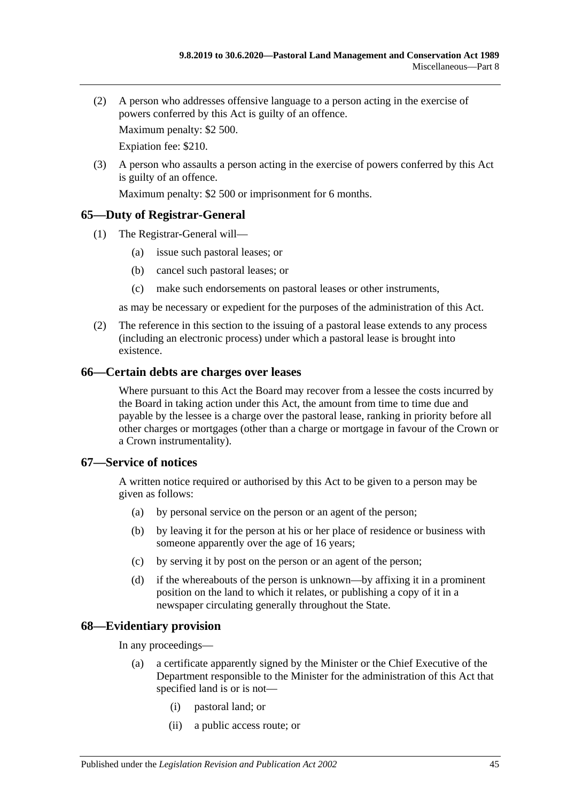(2) A person who addresses offensive language to a person acting in the exercise of powers conferred by this Act is guilty of an offence.

Maximum penalty: \$2 500.

Expiation fee: \$210.

(3) A person who assaults a person acting in the exercise of powers conferred by this Act is guilty of an offence.

Maximum penalty: \$2 500 or imprisonment for 6 months.

#### <span id="page-44-0"></span>**65—Duty of Registrar-General**

- (1) The Registrar-General will—
	- (a) issue such pastoral leases; or
	- (b) cancel such pastoral leases; or
	- (c) make such endorsements on pastoral leases or other instruments,

as may be necessary or expedient for the purposes of the administration of this Act.

(2) The reference in this section to the issuing of a pastoral lease extends to any process (including an electronic process) under which a pastoral lease is brought into existence.

#### <span id="page-44-1"></span>**66—Certain debts are charges over leases**

Where pursuant to this Act the Board may recover from a lessee the costs incurred by the Board in taking action under this Act, the amount from time to time due and payable by the lessee is a charge over the pastoral lease, ranking in priority before all other charges or mortgages (other than a charge or mortgage in favour of the Crown or a Crown instrumentality).

#### <span id="page-44-2"></span>**67—Service of notices**

A written notice required or authorised by this Act to be given to a person may be given as follows:

- (a) by personal service on the person or an agent of the person;
- (b) by leaving it for the person at his or her place of residence or business with someone apparently over the age of 16 years;
- (c) by serving it by post on the person or an agent of the person;
- (d) if the whereabouts of the person is unknown—by affixing it in a prominent position on the land to which it relates, or publishing a copy of it in a newspaper circulating generally throughout the State.

## <span id="page-44-3"></span>**68—Evidentiary provision**

In any proceedings—

- (a) a certificate apparently signed by the Minister or the Chief Executive of the Department responsible to the Minister for the administration of this Act that specified land is or is not—
	- (i) pastoral land; or
	- (ii) a public access route; or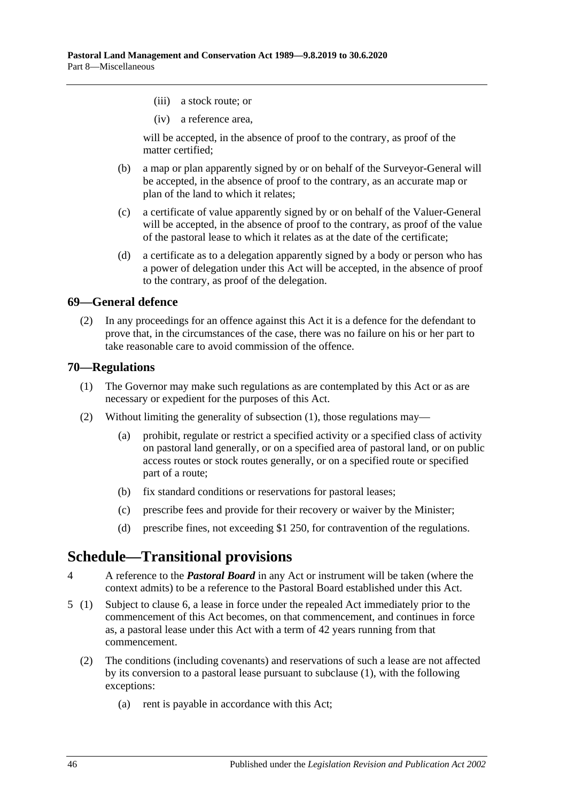- (iii) a stock route; or
- (iv) a reference area,

will be accepted, in the absence of proof to the contrary, as proof of the matter certified;

- (b) a map or plan apparently signed by or on behalf of the Surveyor-General will be accepted, in the absence of proof to the contrary, as an accurate map or plan of the land to which it relates;
- (c) a certificate of value apparently signed by or on behalf of the Valuer-General will be accepted, in the absence of proof to the contrary, as proof of the value of the pastoral lease to which it relates as at the date of the certificate;
- (d) a certificate as to a delegation apparently signed by a body or person who has a power of delegation under this Act will be accepted, in the absence of proof to the contrary, as proof of the delegation.

## <span id="page-45-0"></span>**69—General defence**

(2) In any proceedings for an offence against this Act it is a defence for the defendant to prove that, in the circumstances of the case, there was no failure on his or her part to take reasonable care to avoid commission of the offence.

#### <span id="page-45-3"></span><span id="page-45-1"></span>**70—Regulations**

- (1) The Governor may make such regulations as are contemplated by this Act or as are necessary or expedient for the purposes of this Act.
- (2) Without limiting the generality of [subsection](#page-45-3) (1), those regulations may—
	- (a) prohibit, regulate or restrict a specified activity or a specified class of activity on pastoral land generally, or on a specified area of pastoral land, or on public access routes or stock routes generally, or on a specified route or specified part of a route;
	- (b) fix standard conditions or reservations for pastoral leases;
	- (c) prescribe fees and provide for their recovery or waiver by the Minister;
	- (d) prescribe fines, not exceeding \$1 250, for contravention of the regulations.

# <span id="page-45-2"></span>**Schedule—Transitional provisions**

- 4 A reference to the *Pastoral Board* in any Act or instrument will be taken (where the context admits) to be a reference to the Pastoral Board established under this Act.
- <span id="page-45-4"></span>5 (1) Subject to [clause](#page-46-0) 6, a lease in force under the repealed Act immediately prior to the commencement of this Act becomes, on that commencement, and continues in force as, a pastoral lease under this Act with a term of 42 years running from that commencement.
	- (2) The conditions (including covenants) and reservations of such a lease are not affected by its conversion to a pastoral lease pursuant to subclause (1), with the following exceptions:
		- (a) rent is payable in accordance with this Act;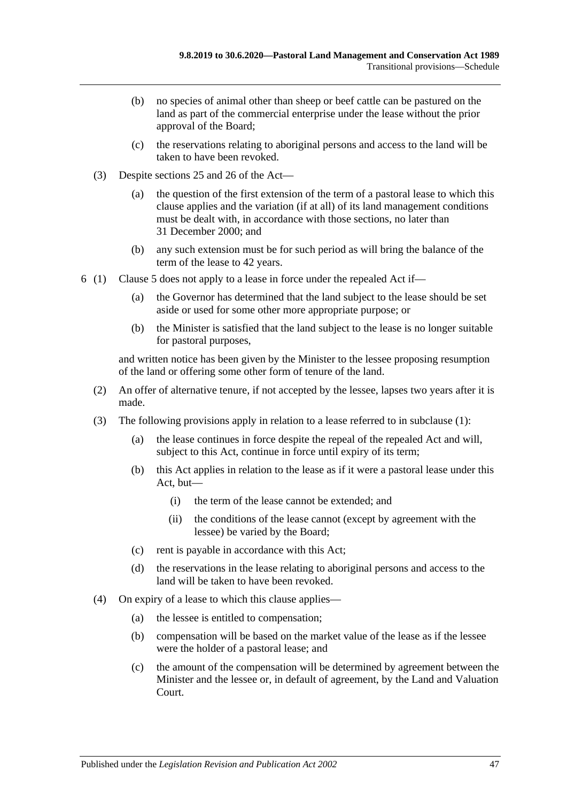- (b) no species of animal other than sheep or beef cattle can be pastured on the land as part of the commercial enterprise under the lease without the prior approval of the Board;
- (c) the reservations relating to aboriginal persons and access to the land will be taken to have been revoked.
- (3) Despite [sections](#page-15-0) 25 and [26](#page-17-0) of the Act—
	- (a) the question of the first extension of the term of a pastoral lease to which this clause applies and the variation (if at all) of its land management conditions must be dealt with, in accordance with those sections, no later than 31 December 2000; and
	- (b) any such extension must be for such period as will bring the balance of the term of the lease to 42 years.
- <span id="page-46-0"></span>6 (1) [Clause](#page-45-4) 5 does not apply to a lease in force under the repealed Act if—
	- (a) the Governor has determined that the land subject to the lease should be set aside or used for some other more appropriate purpose; or
	- (b) the Minister is satisfied that the land subject to the lease is no longer suitable for pastoral purposes,

and written notice has been given by the Minister to the lessee proposing resumption of the land or offering some other form of tenure of the land.

- (2) An offer of alternative tenure, if not accepted by the lessee, lapses two years after it is made.
- (3) The following provisions apply in relation to a lease referred to in subclause (1):
	- (a) the lease continues in force despite the repeal of the repealed Act and will, subject to this Act, continue in force until expiry of its term;
	- (b) this Act applies in relation to the lease as if it were a pastoral lease under this Act, but—
		- (i) the term of the lease cannot be extended; and
		- (ii) the conditions of the lease cannot (except by agreement with the lessee) be varied by the Board;
	- (c) rent is payable in accordance with this Act;
	- (d) the reservations in the lease relating to aboriginal persons and access to the land will be taken to have been revoked.
- (4) On expiry of a lease to which this clause applies—
	- (a) the lessee is entitled to compensation;
	- (b) compensation will be based on the market value of the lease as if the lessee were the holder of a pastoral lease; and
	- (c) the amount of the compensation will be determined by agreement between the Minister and the lessee or, in default of agreement, by the Land and Valuation Court.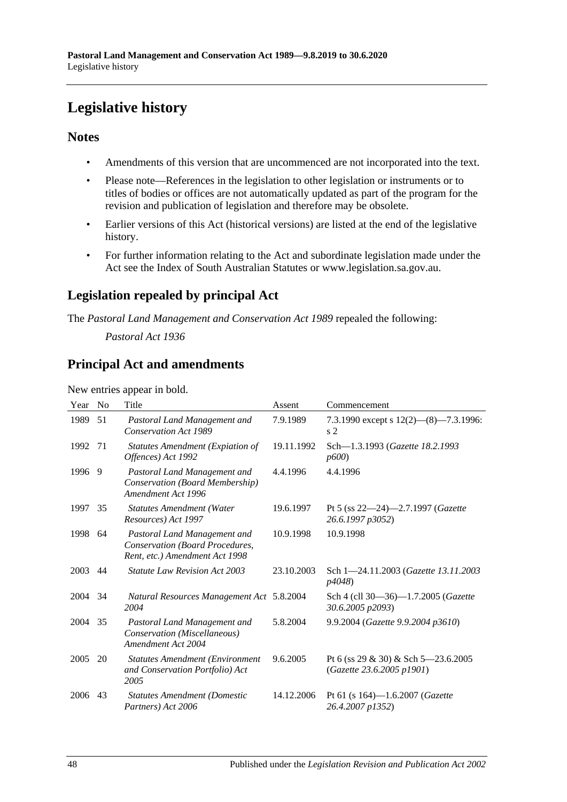# <span id="page-47-0"></span>**Legislative history**

# **Notes**

- Amendments of this version that are uncommenced are not incorporated into the text.
- Please note—References in the legislation to other legislation or instruments or to titles of bodies or offices are not automatically updated as part of the program for the revision and publication of legislation and therefore may be obsolete.
- Earlier versions of this Act (historical versions) are listed at the end of the legislative history.
- For further information relating to the Act and subordinate legislation made under the Act see the Index of South Australian Statutes or www.legislation.sa.gov.au.

# **Legislation repealed by principal Act**

The *Pastoral Land Management and Conservation Act 1989* repealed the following:

*Pastoral Act 1936*

# **Principal Act and amendments**

New entries appear in bold.

| Year | N <sub>0</sub> | Title                                                                                             | Assent     | Commencement                                                     |
|------|----------------|---------------------------------------------------------------------------------------------------|------------|------------------------------------------------------------------|
| 1989 | 51             | Pastoral Land Management and<br><b>Conservation Act 1989</b>                                      | 7.9.1989   | 7.3.1990 except s $12(2)$ — $(8)$ —7.3.1996:<br>s <sub>2</sub>   |
| 1992 | 71             | <b>Statutes Amendment (Expiation of</b><br>Offences) Act 1992                                     | 19.11.1992 | Sch-1.3.1993 (Gazette 18.2.1993<br>p600                          |
| 1996 | -9             | Pastoral Land Management and<br>Conservation (Board Membership)<br>Amendment Act 1996             | 4.4.1996   | 4.4.1996                                                         |
| 1997 | 35             | <b>Statutes Amendment (Water</b><br>Resources) Act 1997                                           | 19.6.1997  | Pt 5 (ss $22-24$ )-2.7.1997 ( <i>Gazette</i><br>26.6.1997 p3052) |
| 1998 | 64             | Pastoral Land Management and<br>Conservation (Board Procedures,<br>Rent, etc.) Amendment Act 1998 | 10.9.1998  | 10.9.1998                                                        |
| 2003 | 44             | Statute Law Revision Act 2003                                                                     | 23.10.2003 | Sch 1-24.11.2003 (Gazette 13.11.2003)<br><i>p4048</i> )          |
| 2004 | 34             | <b>Natural Resources Management Act 5.8.2004</b><br>2004                                          |            | Sch 4 (cll 30-36)-1.7.2005 (Gazette<br>30.6.2005 p2093)          |
| 2004 | 35             | Pastoral Land Management and<br>Conservation (Miscellaneous)<br>Amendment Act 2004                | 5.8.2004   | 9.9.2004 (Gazette 9.9.2004 p3610)                                |
| 2005 | 20             | <b>Statutes Amendment (Environment</b><br>and Conservation Portfolio) Act<br>2005                 | 9.6.2005   | Pt 6 (ss 29 & 30) & Sch 5–23.6.2005<br>(Gazette 23.6.2005 p1901) |
| 2006 | 43             | <b>Statutes Amendment (Domestic</b><br>Partners) Act 2006                                         | 14.12.2006 | Pt 61 (s $164$ )-1.6.2007 ( <i>Gazette</i><br>26.4.2007 p1352)   |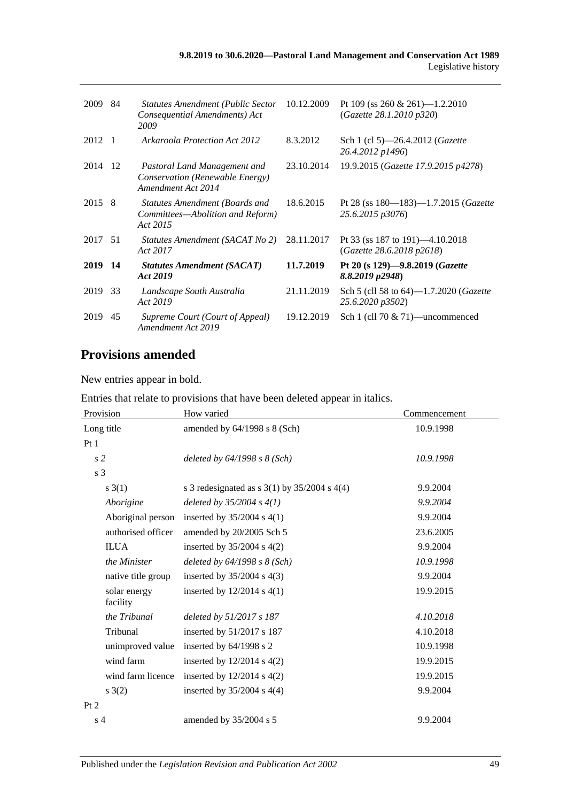| 2009   | 84  | <b>Statutes Amendment (Public Sector</b><br>Consequential Amendments) Act<br>2009     | 10.12.2009 | Pt 109 (ss 260 & 261)-1.2.2010<br>(Gazette 28.1.2010 p320)            |
|--------|-----|---------------------------------------------------------------------------------------|------------|-----------------------------------------------------------------------|
| 2012   | - 1 | Arkaroola Protection Act 2012                                                         | 8.3.2012   | Sch 1 (cl 5)—26.4.2012 ( <i>Gazette</i><br>26.4.2012 p1496)           |
| 2014   | -12 | Pastoral Land Management and<br>Conservation (Renewable Energy)<br>Amendment Act 2014 | 23.10.2014 | 19.9.2015 (Gazette 17.9.2015 p4278)                                   |
| 2015 8 |     | Statutes Amendment (Boards and<br>Committees—Abolition and Reform)<br>Act 2015        | 18.6.2015  | Pt 28 (ss 180-183)-1.7.2015 (Gazette<br>25.6.2015 p3076)              |
| 2017   | 51  | Statutes Amendment (SACAT No 2)<br>Act 2017                                           | 28.11.2017 | Pt 33 (ss 187 to 191)—4.10.2018<br>(Gazette 28.6.2018 p2618)          |
| 2019   | -14 | <b>Statutes Amendment (SACAT)</b><br>Act 2019                                         | 11.7.2019  | Pt 20 (s $129$ )-9.8.2019 ( <i>Gazette</i><br>8.8.2019 p2948)         |
| 2019   | 33  | Landscape South Australia<br>Act 2019                                                 | 21.11.2019 | Sch 5 (cll 58 to $64$ )—1.7.2020 ( <i>Gazette</i><br>25.6.2020 p3502) |
| 2019   | 45  | Supreme Court (Court of Appeal)<br>Amendment Act 2019                                 | 19.12.2019 | Sch 1 (cll 70 $& 71$ )—uncommenced                                    |

# **Provisions amended**

New entries appear in bold.

Entries that relate to provisions that have been deleted appear in italics.

| Provision                | How varied                                         | Commencement |  |
|--------------------------|----------------------------------------------------|--------------|--|
| Long title               | amended by $64/1998$ s $8$ (Sch)                   | 10.9.1998    |  |
| Pt1                      |                                                    |              |  |
| s <sub>2</sub>           | deleted by 64/1998 s 8 (Sch)                       | 10.9.1998    |  |
| s 3                      |                                                    |              |  |
| s(3(1))                  | s 3 redesignated as s $3(1)$ by $35/2004$ s $4(4)$ | 9.9.2004     |  |
| Aborigine                | deleted by $35/2004 s 4(1)$                        | 9.9.2004     |  |
| Aboriginal person        | inserted by $35/2004$ s 4(1)                       | 9.9.2004     |  |
| authorised officer       | amended by 20/2005 Sch 5                           | 23.6.2005    |  |
| <b>ILUA</b>              | inserted by $35/2004$ s $4(2)$                     | 9.9.2004     |  |
| the Minister             | deleted by $64/1998$ s $8$ (Sch)                   | 10.9.1998    |  |
| native title group       | inserted by $35/2004$ s $4(3)$                     | 9.9.2004     |  |
| solar energy<br>facility | inserted by $12/2014$ s $4(1)$                     | 19.9.2015    |  |
| the Tribunal             | deleted by 51/2017 s 187                           | 4.10.2018    |  |
| Tribunal                 | inserted by 51/2017 s 187                          | 4.10.2018    |  |
| unimproved value         | inserted by $64/1998$ s 2                          | 10.9.1998    |  |
| wind farm                | inserted by $12/2014$ s $4(2)$                     | 19.9.2015    |  |
| wind farm licence        | inserted by $12/2014$ s $4(2)$                     | 19.9.2015    |  |
| s(2)                     | inserted by $35/2004$ s $4(4)$                     | 9.9.2004     |  |
| Pt 2                     |                                                    |              |  |
| s <sub>4</sub>           | amended by 35/2004 s 5                             | 9.9.2004     |  |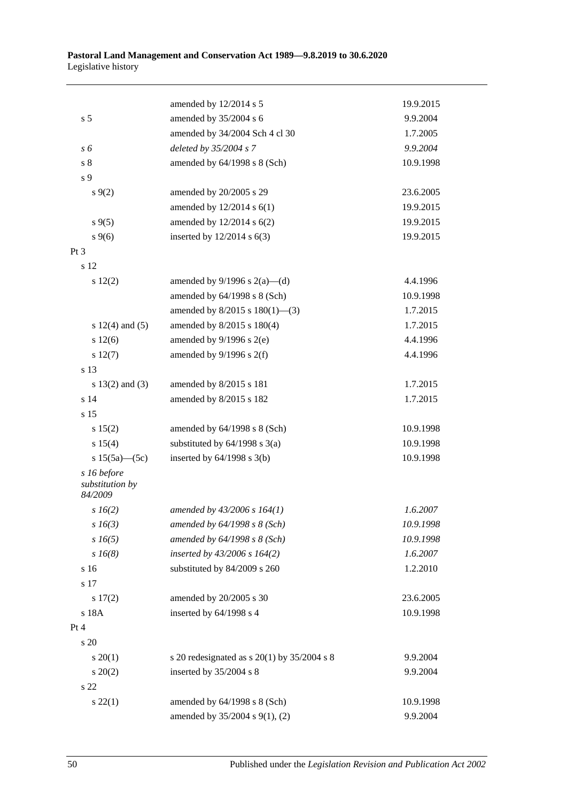|                                           | amended by 12/2014 s 5                          | 19.9.2015 |
|-------------------------------------------|-------------------------------------------------|-----------|
| s <sub>5</sub>                            | amended by 35/2004 s 6                          | 9.9.2004  |
|                                           | amended by 34/2004 Sch 4 cl 30                  | 1.7.2005  |
| s 6                                       | deleted by 35/2004 s 7                          | 9.9.2004  |
| $\sqrt{s}$ 8                              | amended by 64/1998 s 8 (Sch)                    | 10.9.1998 |
| s 9                                       |                                                 |           |
| $s \, 9(2)$                               | amended by 20/2005 s 29                         | 23.6.2005 |
|                                           | amended by $12/2014$ s $6(1)$                   | 19.9.2015 |
| $s \, 9(5)$                               | amended by $12/2014$ s $6(2)$                   | 19.9.2015 |
| $s \, 9(6)$                               | inserted by $12/2014$ s $6(3)$                  | 19.9.2015 |
| $Pt\,3$                                   |                                                 |           |
| s 12                                      |                                                 |           |
| 12(2)                                     | amended by $9/1996$ s $2(a)$ —(d)               | 4.4.1996  |
|                                           | amended by 64/1998 s 8 (Sch)                    | 10.9.1998 |
|                                           | amended by $8/2015$ s $180(1)$ —(3)             | 1.7.2015  |
| s $12(4)$ and $(5)$                       | amended by 8/2015 s 180(4)                      | 1.7.2015  |
| s 12(6)                                   | amended by $9/1996$ s $2(e)$                    | 4.4.1996  |
| s 12(7)                                   | amended by $9/1996$ s $2(f)$                    | 4.4.1996  |
| s 13                                      |                                                 |           |
| s $13(2)$ and $(3)$                       | amended by 8/2015 s 181                         | 1.7.2015  |
| s <sub>14</sub>                           | amended by 8/2015 s 182                         | 1.7.2015  |
| s 15                                      |                                                 |           |
| s 15(2)                                   | amended by $64/1998$ s $8$ (Sch)                | 10.9.1998 |
| s 15(4)                                   | substituted by $64/1998$ s $3(a)$               | 10.9.1998 |
| s $15(5a)$ (5c)                           | inserted by $64/1998$ s $3(b)$                  | 10.9.1998 |
| s 16 before<br>substitution by<br>84/2009 |                                                 |           |
| $s\,16(2)$                                | amended by $43/2006$ s $164(1)$                 | 1.6.2007  |
| $s\,16(3)$                                | amended by 64/1998 s 8 (Sch)                    | 10.9.1998 |
| $s\,16(5)$                                | amended by 64/1998 s 8 (Sch)                    | 10.9.1998 |
| $s\,16(8)$                                | inserted by 43/2006 s 164(2)                    | 1.6.2007  |
| s 16                                      | substituted by 84/2009 s 260                    | 1.2.2010  |
| s 17                                      |                                                 |           |
| s 17(2)                                   | amended by 20/2005 s 30                         | 23.6.2005 |
| s 18A                                     | inserted by 64/1998 s 4                         | 10.9.1998 |
| Pt 4                                      |                                                 |           |
| s 20                                      |                                                 |           |
| $s \ 20(1)$                               | s 20 redesignated as s $20(1)$ by $35/2004$ s 8 | 9.9.2004  |
| $\frac{20(2)}{2}$                         | inserted by 35/2004 s 8                         | 9.9.2004  |
| s 22                                      |                                                 |           |
| $s\ 22(1)$                                | amended by 64/1998 s 8 (Sch)                    | 10.9.1998 |
|                                           | amended by 35/2004 s 9(1), (2)                  | 9.9.2004  |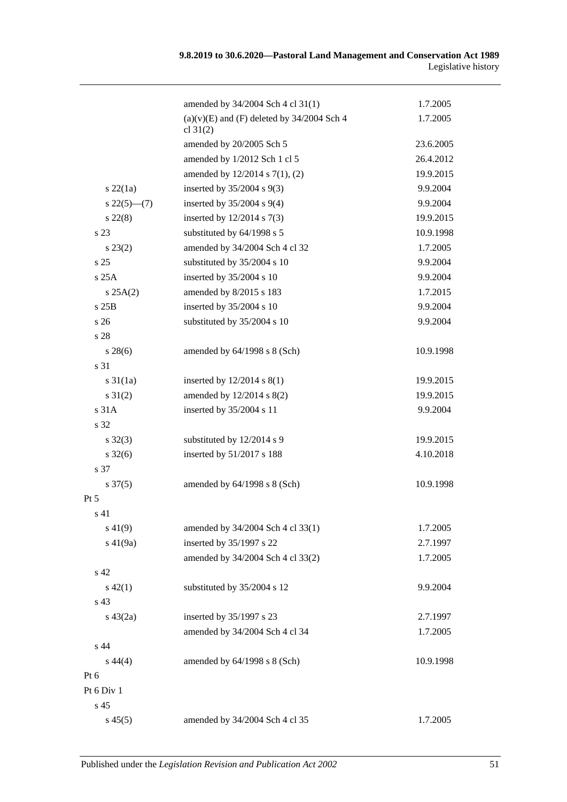|                     | amended by 34/2004 Sch 4 cl 31(1)                            | 1.7.2005  |
|---------------------|--------------------------------------------------------------|-----------|
|                     | $(a)(v)(E)$ and $(F)$ deleted by 34/2004 Sch 4<br>cl $31(2)$ | 1.7.2005  |
|                     | amended by 20/2005 Sch 5                                     | 23.6.2005 |
|                     | amended by 1/2012 Sch 1 cl 5                                 | 26.4.2012 |
|                     | amended by $12/2014$ s $7(1)$ , (2)                          | 19.9.2015 |
| $s\ 22(1a)$         | inserted by $35/2004$ s $9(3)$                               | 9.9.2004  |
| $s\,22(5)$ —(7)     | inserted by $35/2004$ s $9(4)$                               | 9.9.2004  |
| $s\,22(8)$          | inserted by $12/2014$ s $7(3)$                               | 19.9.2015 |
| s <sub>23</sub>     | substituted by 64/1998 s 5                                   | 10.9.1998 |
| $s\,23(2)$          | amended by 34/2004 Sch 4 cl 32                               | 1.7.2005  |
| s <sub>25</sub>     | substituted by 35/2004 s 10                                  | 9.9.2004  |
| s25A                | inserted by 35/2004 s 10                                     | 9.9.2004  |
| s 25A(2)            | amended by 8/2015 s 183                                      | 1.7.2015  |
| s 25B               | inserted by 35/2004 s 10                                     | 9.9.2004  |
| s <sub>26</sub>     | substituted by 35/2004 s 10                                  | 9.9.2004  |
| s 28                |                                                              |           |
| $s\,28(6)$          | amended by $64/1998$ s $8$ (Sch)                             | 10.9.1998 |
| s 31                |                                                              |           |
| $s \, 31(1a)$       | inserted by $12/2014$ s $8(1)$                               | 19.9.2015 |
| $s \, 31(2)$        | amended by 12/2014 s 8(2)                                    | 19.9.2015 |
| s 31A               | inserted by 35/2004 s 11                                     | 9.9.2004  |
| s 32                |                                                              |           |
| $s \, 32(3)$        | substituted by 12/2014 s 9                                   | 19.9.2015 |
| $s \, 32(6)$        | inserted by 51/2017 s 188                                    | 4.10.2018 |
| s 37                |                                                              |           |
| $s \frac{37(5)}{2}$ | amended by $64/1998$ s $8$ (Sch)                             | 10.9.1998 |
| $Pt\,5$             |                                                              |           |
| s 41                |                                                              |           |
| $s\ 41(9)$          | amended by 34/2004 Sch 4 cl 33(1)                            | 1.7.2005  |
| $s\ 41(9a)$         | inserted by 35/1997 s 22                                     | 2.7.1997  |
|                     | amended by 34/2004 Sch 4 cl 33(2)                            | 1.7.2005  |
| s 42                |                                                              |           |
| $s\ 42(1)$          | substituted by 35/2004 s 12                                  | 9.9.2004  |
| s 43                |                                                              |           |
| $s\ 43(2a)$         | inserted by 35/1997 s 23                                     | 2.7.1997  |
|                     | amended by 34/2004 Sch 4 cl 34                               | 1.7.2005  |
| s 44                |                                                              |           |
| $s\,44(4)$          | amended by 64/1998 s 8 (Sch)                                 | 10.9.1998 |
| Pt 6                |                                                              |           |
| Pt 6 Div 1          |                                                              |           |
| s 45                |                                                              |           |
| $s\,45(5)$          | amended by 34/2004 Sch 4 cl 35                               | 1.7.2005  |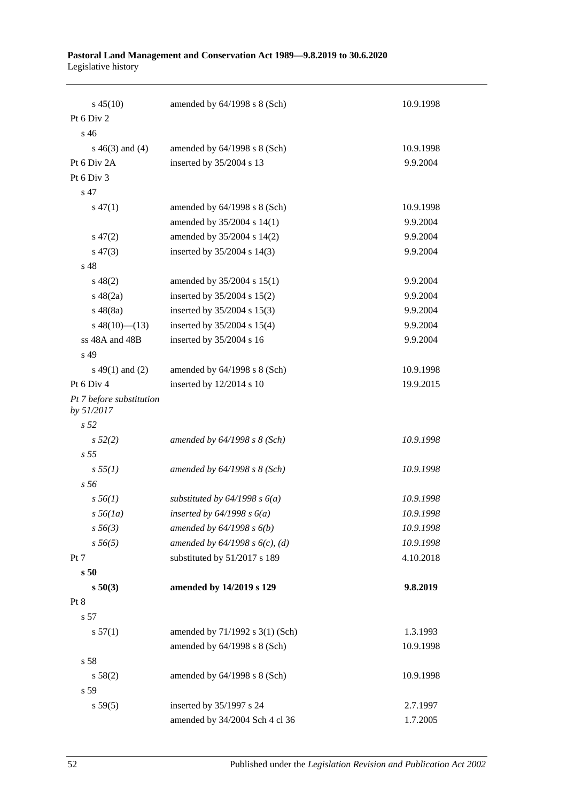#### **Pastoral Land Management and Conservation Act 1989—9.8.2019 to 30.6.2020** Legislative history

| $s\,45(10)$                            | amended by $64/1998$ s $8$ (Sch)  | 10.9.1998 |
|----------------------------------------|-----------------------------------|-----------|
| Pt 6 Div 2                             |                                   |           |
| s 46                                   |                                   |           |
| $s\ 46(3)$ and (4)                     | amended by $64/1998$ s $8$ (Sch)  | 10.9.1998 |
| Pt 6 Div 2A                            | inserted by 35/2004 s 13          | 9.9.2004  |
| Pt 6 Div 3                             |                                   |           |
| s 47                                   |                                   |           |
| $s\,47(1)$                             | amended by 64/1998 s 8 (Sch)      | 10.9.1998 |
|                                        | amended by 35/2004 s 14(1)        | 9.9.2004  |
| $s\,47(2)$                             | amended by 35/2004 s 14(2)        | 9.9.2004  |
| $s\,47(3)$                             | inserted by 35/2004 s 14(3)       | 9.9.2004  |
| s 48                                   |                                   |           |
| $s\,48(2)$                             | amended by 35/2004 s 15(1)        | 9.9.2004  |
| $s\ 48(2a)$                            | inserted by $35/2004$ s $15(2)$   | 9.9.2004  |
| $s\,48(8a)$                            | inserted by 35/2004 s 15(3)       | 9.9.2004  |
| $s\ 48(10)$ (13)                       | inserted by $35/2004$ s $15(4)$   | 9.9.2004  |
| ss 48A and 48B                         | inserted by 35/2004 s 16          | 9.9.2004  |
| s 49                                   |                                   |           |
| $s\ 49(1)$ and (2)                     | amended by $64/1998$ s $8$ (Sch)  | 10.9.1998 |
| Pt 6 Div 4                             | inserted by 12/2014 s 10          | 19.9.2015 |
| Pt 7 before substitution<br>by 51/2017 |                                   |           |
| s 52                                   |                                   |           |
| s 52(2)                                | amended by 64/1998 s 8 (Sch)      | 10.9.1998 |
| s <sub>55</sub>                        |                                   |           |
| s 55(1)                                | amended by $64/1998 s 8$ (Sch)    | 10.9.1998 |
| s 56                                   |                                   |           |
| $s\,56(1)$                             | substituted by $64/1998 s 6(a)$   | 10.9.1998 |
| $s\,56(1a)$                            | inserted by $64/1998 s 6(a)$      | 10.9.1998 |
| $s\,56(3)$                             | amended by $64/1998 s 6(b)$       | 10.9.1998 |
| $s\,56(5)$                             | amended by $64/1998 s 6(c)$ , (d) | 10.9.1998 |
| Pt 7                                   | substituted by 51/2017 s 189      | 4.10.2018 |
| s50                                    |                                   |           |
| s 50(3)                                | amended by 14/2019 s 129          | 9.8.2019  |
| Pt 8                                   |                                   |           |
| s 57                                   |                                   |           |
| s 57(1)                                | amended by 71/1992 s 3(1) (Sch)   | 1.3.1993  |
|                                        | amended by 64/1998 s 8 (Sch)      | 10.9.1998 |
| s 58                                   |                                   |           |
| s 58(2)                                | amended by 64/1998 s 8 (Sch)      | 10.9.1998 |
| s 59                                   |                                   |           |
| s 59(5)                                | inserted by 35/1997 s 24          | 2.7.1997  |
|                                        | amended by 34/2004 Sch 4 cl 36    | 1.7.2005  |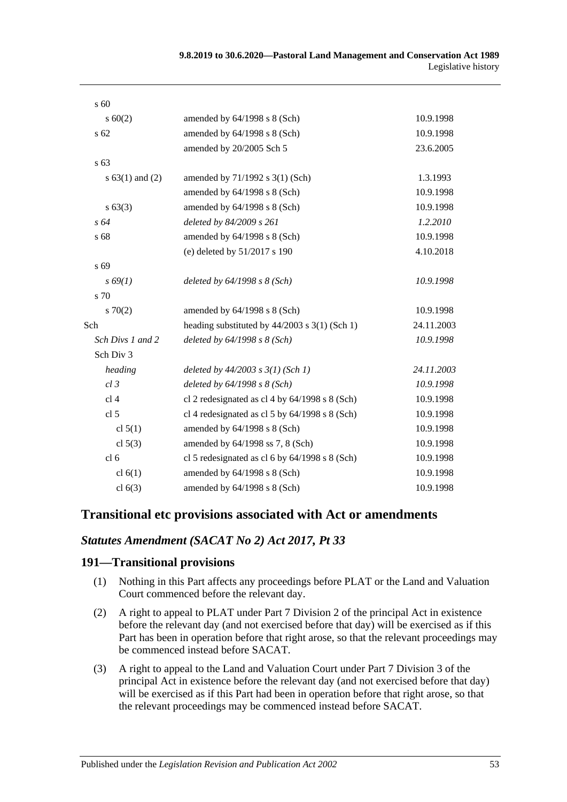| s 60                |                                                   |            |
|---------------------|---------------------------------------------------|------------|
| $s \ 60(2)$         | amended by 64/1998 s 8 (Sch)                      | 10.9.1998  |
| s 62                | amended by 64/1998 s 8 (Sch)                      | 10.9.1998  |
|                     | amended by 20/2005 Sch 5                          | 23.6.2005  |
| s <sub>63</sub>     |                                                   |            |
| s $63(1)$ and $(2)$ | amended by 71/1992 s 3(1) (Sch)                   | 1.3.1993   |
|                     | amended by 64/1998 s 8 (Sch)                      | 10.9.1998  |
| s 63(3)             | amended by 64/1998 s 8 (Sch)                      | 10.9.1998  |
| $s\,64$             | deleted by 84/2009 s 261                          | 1.2.2010   |
| s 68                | amended by 64/1998 s 8 (Sch)                      | 10.9.1998  |
|                     | (e) deleted by 51/2017 s 190                      | 4.10.2018  |
| s 69                |                                                   |            |
| $s\,69(1)$          | deleted by $64/1998 s 8 (Sch)$                    | 10.9.1998  |
| s 70                |                                                   |            |
| 570(2)              | amended by 64/1998 s 8 (Sch)                      | 10.9.1998  |
| Sch                 | heading substituted by $44/2003$ s $3(1)$ (Sch 1) | 24.11.2003 |
| Sch Divs 1 and 2    | deleted by $64/1998 s 8 (Sch)$                    | 10.9.1998  |
| Sch Div 3           |                                                   |            |
| heading             | deleted by $44/2003$ s $3(1)$ (Sch 1)             | 24.11.2003 |
| $cl$ 3              | deleted by $64/1998 s 8$ (Sch)                    | 10.9.1998  |
| cl <sub>4</sub>     | cl 2 redesignated as cl 4 by $64/1998$ s 8 (Sch)  | 10.9.1998  |
| cl <sub>5</sub>     | cl 4 redesignated as cl 5 by $64/1998$ s 8 (Sch)  | 10.9.1998  |
| cl $5(1)$           | amended by 64/1998 s 8 (Sch)                      | 10.9.1998  |
| cl $5(3)$           | amended by 64/1998 ss 7, 8 (Sch)                  | 10.9.1998  |
| cl <sub>6</sub>     | cl 5 redesignated as cl 6 by $64/1998$ s 8 (Sch)  | 10.9.1998  |
| cl $6(1)$           | amended by 64/1998 s 8 (Sch)                      | 10.9.1998  |
| cl $6(3)$           | amended by 64/1998 s 8 (Sch)                      | 10.9.1998  |

## **Transitional etc provisions associated with Act or amendments**

## *Statutes Amendment (SACAT No 2) Act 2017, Pt 33*

#### **191—Transitional provisions**

- (1) Nothing in this Part affects any proceedings before PLAT or the Land and Valuation Court commenced before the relevant day.
- (2) A right to appeal to PLAT under Part 7 Division 2 of the principal Act in existence before the relevant day (and not exercised before that day) will be exercised as if this Part has been in operation before that right arose, so that the relevant proceedings may be commenced instead before SACAT.
- (3) A right to appeal to the Land and Valuation Court under Part 7 Division 3 of the principal Act in existence before the relevant day (and not exercised before that day) will be exercised as if this Part had been in operation before that right arose, so that the relevant proceedings may be commenced instead before SACAT.